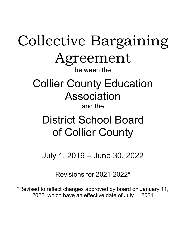## Collective Bargaining Agreement between the

# Collier County Education Association

## and the

## District School Board of Collier County

July 1, 2019 – June 30, 2022

Revisions for 2021-2022\*

\*Revised to reflect changes approved by board on January 11, 2022, which have an effective date of July 1, 2021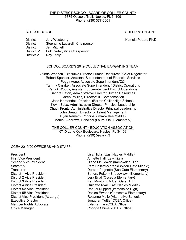#### THE DISTRICT SCHOOL BOARD OF COLLIER COUNTY 5775 Osceola Trail, Naples, FL 34109 Phone: (239) 377-0001

## SCHOOL BOARD SUPERINTENDENT

District I Jory Westberry Kamela Patton, Ph.D.

- 
- District II Stephanie Lucarelli, Chairperson
- District III Jen Mitchell
- District IV Erik Carter, Vice Chairperson
- District V Roy Terry

## SCHOOL BOARD'S 2019 COLLECTIVE BARGAINING TEAM:

Valerie Wenrich, Executive Director Human Resources/ Chief Negotiator Robert Spencer, Assistant Superintendent of Financial Services Peggy Aune, Associate Superintendent/C&I Tammy Caraker, Associate Superintendent / District Operations Patrick Woods, Assistant Superintendent District Operations Sandra Eaton, Administrative Director/Human Resources Karen Phillips, Director/HR Compensation Jose Hernandez, Principal (Barron Collier High School) Kevin Saba, Administrative Director Principal Leadership Chuck Frontz, Administrative Director Principal Leadership John Breault, Director of Talent Management Ryan Nemeth, Principal (Immokalee Middle) Marilou Andrews, Principal (Laurel Oak Elementary)

> THE COLLIER COUNTY EDUCATION ASSOCIATION 6710 Lone Oak Boulevard, Naples, FL 34109 Phone: (239) 592-7773

## CCEA 2019/20 OFFICERS AND STAFF:

President Lisa Hicks (East Naples Middle)<br>First Vice President Lisa Hicks (Last Naples Middle) Member Rights Advocate **Lyle Farmar (CCEA Office)** Office Manager **Rhonda Shimel (CCEA Office)** 

Annette Hall (Lely High) Second Vice President Diana McGowen (Immokalee High) Secretary Pam Pollard-Moran (Golden Gate Middle) Doreen Pagnotto (Sea Gate Elementary) District 1 Vice President (Shadowlawn Elementary)<br>District 2 Vice President (Shadowlawn Elementary) Lera Brial (Osceola Elementary) Lera Brial (Osceola Elementary) District 3 Vice President **Exercise 2 Contract Contract Contract Contract Contract Contract Contract Contract Contract Contract Contract Contract Contract Contract Contract Contract Contract Contract Contract Contract Cont** District 4 Vice President **District 4 Vice President Quinetta Ryal (East Naples Middle)** District 5A Vice President **Raquel Ruppert (Immokalee High)** Raquel Ruppert (Immokalee High) District 5B Vice President Denise Ervans (Corkscrew Elementary) District Vice President (At Large) Rosanne Mello (Alternative Schools)<br>Executive Director Cases donathan Tuttle (CCEA Office) Jonathan Tuttle (CCEA Office)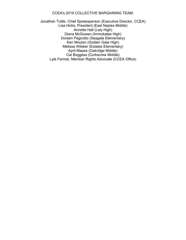## CCEA's 2019 COLLECTIVE BARGAINING TEAM:

Jonathan Tuttle, Chief Spokesperson (Executive Director, CCEA) Lisa Hicks, President (East Naples Middle) Annette Hall (Lely High) Diana McGowen (Immokalee High) Doreen Pagnotto (Seagate Elementary) Ken Mouton (Golden Gate High) Melissa Wilsker (Estates Elementary) April Mapes (Oakridge Middle) Cal Boggess (Corkscrew Middle) Lyle Farmar, Member Rights Advocate (CCEA Office)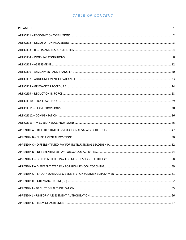## TABLE OF CONTENT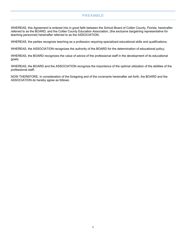## *PREAMBLE*

<span id="page-4-0"></span>WHEREAS, this Agreement is entered into in good faith between the School Board of Collier County, Florida, hereinafter referred to as the BOARD, and the Collier County Education Association, (the exclusive bargaining representative for teaching personnel) hereinafter referred to as the ASSOCIATION;

WHEREAS, the parties recognize teaching as a profession requiring specialized educational skills and qualifications;

WHEREAS, the ASSOCIATION recognizes the authority of the BOARD for the determination of educational policy;

WHEREAS, the BOARD recognizes the value of advice of the professional staff in the development of its educational goals;

WHEREAS, the BOARD and the ASSOCIATION recognize the importance of the optimal utilization of the abilities of the professional staff;

NOW THEREFORE, in consideration of the foregoing and of the covenants hereinafter set forth, the BOARD and the ASSOCIATION do hereby agree as follows: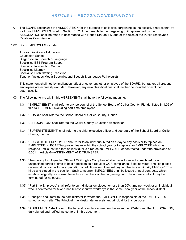## *ARTICLE 1 – RECOGNITION/DEFINITIONS*

<span id="page-5-0"></span>1.01 The BOARD recognizes the ASSOCIATION for the purpose of collective bargaining as the exclusive representative for those EMPLOYEES listed in Section 1.02. Amendments to the bargaining unit represented by the ASSOCIATION shall be made in accordance with Florida Statute 447 and/or the rules of the Public Employees Relations Commission.

#### 1.02 Such EMPLOYEES include:

Advisor, Workforce Education Counselor, School Diagnostician, Speech & Language Specialist, ESE Program Support Specialist, Intervention Support Specialist, Literacy Specialist, PreK Staffing Transition Teacher (includes Media Specialist and Speech & Language Pathologist)

This statement shall not, by implication, affect or cover any other employee of the BOARD, but rather, all present employees are expressly excluded. However, any new classifications shall neither be included or excluded automatically.

- 1.03 The following terms within this AGREEMENT shall have the following meaning:
	- 1.31 "EMPLOYEE(S)" shall refer to any personnel of the School Board of Collier County, Florida, listed in 1.02 of this AGREEMENT excluding part-time employees.
	- 1.32 "BOARD" shall refer to the School Board of Collier County, Florida.
	- 1.33 "ASSOCIATION" shall refer to the Collier County Education Association.
	- 1.34 "SUPERINTENDENT" shall refer to the chief executive officer and secretary of the School Board of Collier County, Florida.
	- 1.35 "SUBSTITUTE EMPLOYEE" shall refer to an individual hired on a day-to-day basis or to replace an EMPLOYEE on BOARD-approved leave within the school year or to replace an EMPLOYEE who has resigned until such time that an individual is hired as an EMPLOYEE or contracted under the provisions of 6.061 in Article 6—ASSIGNMENT AND TRANSFER.
	- 1.36 "Temporary Employee for Office of Civil Rights Compliance" shall refer to an individual hired for an unspecified period of time to hold a position as a result of OCR compliance. Said individual shall be placed on annual contract with no expectation of additional employment beyond the time a minority EMPLOYEE is hired and placed in the position. Such temporary EMPLOYEES shall be issued annual contracts, which establish eligibility for normal benefits as members of the bargaining unit. The annual contract may be terminated for no cause.
	- 1.37 "Part-time Employee" shall refer to an individual employed for less than 50% time per week or an individual who is contracted for fewer than 60 consecutive workdays in the same fiscal year of the school district.
	- 1.38 "Principal" shall refer to the administrator to whom the EMPLOYEE is responsible at the EMPLOYEE's school or work site. The Principal may designate an assistant principal for this purpose.
	- 1.39 "AGREEMENT" shall refer to the full and complete agreement between the BOARD and the ASSOCIATION, duly signed and ratified, as set forth in this document.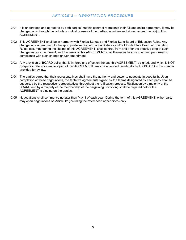## *ARTICLE 2 – NEGOTIATION PROCEDURE*

- <span id="page-6-0"></span>2.01 It is understood and agreed to by both parties that this contract represents their full and entire agreement. It may be changed only through the voluntary mutual consent of the parties, in written and signed amendment(s) to this AGREEMENT.
- 2.02 This AGREEMENT shall be in harmony with Florida Statutes and Florida State Board of Education Rules. Any change in or amendment to the appropriate section of Florida Statutes and/or Florida State Board of Education Rules, occurring during the lifetime of this AGREEMENT, shall control, from and after the effective date of such change and/or amendment; and the terms of this AGREEMENT shall thereafter be construed and performed in compliance with such change and/or amendment.
- 2.03 Any provision of BOARD policy that is in force and effect on the day this AGREEMENT is signed, and which is NOT by specific reference made a part of this AGREEMENT, may be amended unilaterally by the BOARD in the manner provided for by law.
- 2.04 The parties agree that their representatives shall have the authority and power to negotiate in good faith. Upon completion of these negotiations, the tentative agreements signed by the teams designated by each party shall be supported by the respective representatives throughout the ratification process. Ratification by a majority of the BOARD and by a majority of the membership of the bargaining unit voting shall be required before the AGREEMENT is binding on the parties.
- 2.05 Negotiations shall commence no later than May 1 of each year. During the term of this AGREEMENT, either party may open negotiations on Article 12 (including the referenced appendices) only.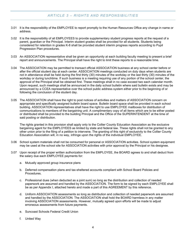## *ARTICLE 3 – RIGHTS AND RESPONSIBILITIES*

- <span id="page-7-0"></span>3.01 It is the responsibility of the EMPLOYEE to report promptly to the Human Resources Office any change in name or address.
- 3.02 It is the responsibility of all EMPLOYEES to provide supplementary student progress reports at the request of a parent, guardian or the Principal. Interim student grades shall be provided for all students. Students being considered for retention in grades K-8 shall be provided student interim progress reports according to Pupil Progression Plan procedures.
- 3.03 An ASSOCIATION representative shall be given an opportunity at each building faculty meeting to present a brief report and announcements. The Principal shall have the right to limit these reports to a reasonable time.
- 3.04 The ASSOCIATION may be permitted to transact official ASSOCIATION business at any school center before or after the official student day at each center. ASSOCIATION meetings conducted on duty days when students are not in attendance shall be held during the first thirty (30) minutes of the workday or the last thirty (30) minutes of the workday or during lunchtime. If such business is a meeting requiring use of any portion of the school center, the approval of the Principal shall be obtained first. These meetings shall in no case exceed two each calendar month. Upon request, such meetings shall be announced in the daily school bulletin where said bulletin exists and may be announced by a CCEA representative over the school public address system either prior to the beginning of or following the conclusion of the student day.
- 3.05 The ASSOCIATION shall have the right to post notices of activities and matters of ASSOCIATION concern on appropriate and specifically assigned bulletin board space. Bulletin board space shall be provided in each school building. ASSOCIATION representatives shall have the right to use EMPLOYEE mailboxes for distribution of communications to members of the bargaining unit. A complimentary copy of all items which are to be either posted or distributed shall be provided to the building Principal and the Office of the SUPERINTENDENT at the time of said posting or distribution.

The rights granted in this provision shall apply only to the Collier County Education Association as the exclusive bargaining agent for the EMPLOYEES as limited by state and federal law. These rights shall not be granted to any other union prior to the filing of a petition to intervene. The granting of this right of exclusivity to the Collier County Education Association will, in no way, infringe upon the rights of the individual EMPLOYEE.

- 3.06 School system materials shall not be consumed for personal or ASSOCIATION activities. School system equipment may be used at the school site for ASSOCIATION activities with prior approval by the Principal or his designee.
- 3.07 Upon receipt of the proper written authorization from the EMPLOYEE, the BOARD agrees to and shall deduct from the salary due each EMPLOYEE payments for:
	- a. Mutually approved group insurance plans
	- b. Deferred compensation plans and tax-sheltered accounts compliant with School Board Policies and Procedures.
	- c. Professional dues (when deducted as a joint sum) so long as the distribution and collection of needed paperwork are assumed and handled by the ASSOCIATION. The form to be signed by each EMPLOYEE shall be as per Appendix I, attached hereto and made a part of this AGREEMENT by this reference.
	- d. Uniform ASSOCIATION assessments so long as distribution and collection of needed paperwork are assumed and handled by the ASSOCIATION. The ASSOCIATION shall hold the BOARD harmless in any matter involving ASSOCIATION assessments. However, mutually agreed upon efforts will be made to adjust erroneous assessments from future payments.
	- e. Suncoast Schools Federal Credit Union
	- f. United Way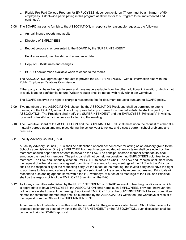- g. Florida Pre-Paid College Program for EMPLOYEES' dependent children (There must be a minimum of 50 employees District-wide participating in this program at all times for this Program to be implemented and continued).
- 3.08 The BOARD agrees to furnish to the ASSOCIATION, in response to reasonable requests, the following:
	- a. Annual finance reports and audits
	- b. Directory of EMPLOYEES
	- c. Budget proposals as presented to the BOARD by the SUPERINTENDENT
	- d. Pupil enrollment, membership and attendance data
	- e. Copy of BOARD rules and changes
	- f. BOARD packet made available when released to the media

The ASSOCIATION agrees upon request to provide the SUPERINTENDENT with all information filed with the Public Employees Relations Commission.

Either party shall have the right to seek and have made available from the other additional information, which is not of a privileged or confidential nature. Written request shall be made, with reply within ten workdays.

The BOARD reserves the right to charge a reasonable fee for document requests pursuant to BOARD policy.

- 3.09 Two members of the ASSOCIATION, chosen by the ASSOCIATION President, shall be permitted to attend meetings of the BOARD, without loss of pay, provided any expense for a needed substitute shall be paid by the ASSOCIATION. The President shall notify the SUPERINTENDENT and the EMPLOYEES' Principal(s) in writing, by e-mail or fax 48 hours in advance of attending the meeting.
- 3.10 The Executive Board of the ASSOCIATION and the SUPERINTENDENT shall meet upon the request of either at a mutually agreed upon time and place during the school year to review and discuss current school problems and practices.
- 3.11 Faculty Advisory Council (FAC)

A Faculty Advisory Council (FAC) shall be established at each school center for acting as an advisory group to the School's administration. One (1) EMPLOYEE from each recognized department or team shall be elected by the members of such department or team to serve on the FAC. The principal and/or a member of the faculty shall announce the need for members. The principal shall not be held responsible if no EMPLOYEES volunteer to be members. The FAC shall annually elect an EMPLOYEE to serve as Chair. The FAC and Principal shall meet upon the request of either at a mutually agreed upon time. The agenda for any meetings of the FAC with the Principal shall be the responsibility of the requesting party. At the outset of the meeting, the invited party shall have the right to add items to this agenda after all items originally submitted for the agenda have been addressed. Principals will respond to outstanding agenda items within ten (10) workdays. Minutes of all meetings of the FAC and Principal shall be the responsibility of the EMPLOYEES serving on the FAC.

3.12 As to any committee established by the SUPERINTENDENT or BOARD relevant to teaching conditions on which it is appropriate to have EMPLOYEES, the ASSOCIATION shall name such EMPLOYEES, provided, however, that nothing herein shall prevent the naming of additional EMPLOYEES by the SUPERINTENDENT to said committee. Names for committee membership shall be submitted by the ASSOCIATION within ten (10) workdays of receipt of the request from the Office of the SUPERINTENDENT.

An annual school calendar committee shall be formed within the guidelines stated herein. Should discussion of a proposed calendar be desired by either the SUPERINTENDENT or the ASSOCIATION, such discussion shall be conducted prior to BOARD approval.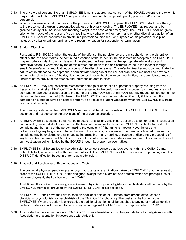- 3.13 The private and personal life of an EMPLOYEE is not the appropriate concern of the BOARD, except to the extent it may interfere with the EMPLOYEE's responsibilities to and relationships with pupils, parents and/or school personnel.
- 3.14 When a conference is held primarily for the purpose of EMPLOYEE discipline, the EMPLOYEE shall have the right to the presence of a union-representative witness of his/her choosing. The EMPLOYEE may request and be granted a delay of 48 hours for said meeting except in the case of an emergency. The EMPLOYEE shall be given prior written notice of the reason of such meeting. Any verbal or written reprimand or other disciplinary action of an EMPLOYEE shall be conducted in private in a professional manner. For purposes of this provision, discipline includes a verbal or written reprimand or a recommendation for suspension or termination.
- 3.15 Student Discipline

Pursuant to F.S. 1003.32, when the gravity of the offense, the persistence of the misbehavior, or the disruptive effect of the behavior makes the continued presence of the student in the classroom unacceptable, an EMPLOYEE may exclude a student from his class until the student has been seen by the appropriate administrator and corrective action, if warranted by the administrator, has been taken and communicated to the teacher through email, face-to-face communication, or a copy of the discipline referral. The referring teacher must communicate the nature of the offense to the appropriate administrator/designee at the earliest practicable moment and provide a written referral by the end of the day. It is understood that without timely communication, the administrator may be unaware of the gravity of the offense and return the student to class.

3.16 An EMPLOYEE may request reimbursement for damage or destruction of personal property resulting from an illegal action against an EMPLOYEE while he is engaged in the performance of his duties. Such request may not be made for damage or destruction to the home of the EMPLOYEE. An EMPLOYEE may request reimbursement to his auto up to a maximum of \$500 toward the EMPLOYEE's personal auto deductible only if it is proven that damage to his auto occurred on school property as a result of student vandalism when the EMPLOYEE is working in an official capacity.

The granting or denial of the EMPLOYEE's request shall be at the discretion of the SUPERINTENDENT or his designee and not subject to the provisions of the grievance procedure.

- 3.17 An EMPLOYEE's assessment shall not be affected nor shall any disciplinary action be taken or formal investigation conducted by school district personnel on the basis of a complaint unless the EMPLOYEE is first informed of the complaint and the name of the person making the complaint (if the name is known). Nevertheless and notwithstanding anything else contained herein to the contrary, no evidence or information obtained from such a complaint may be excluded or challenged as inadmissible in any hearing, grievance or disciplinary proceeding of any type solely because the EMPLOYEE was not first informed of the existence and nature of the complaint prior to an investigation being initiated by the BOARD through its proper representatives.
- 3.18 EMPLOYEES shall be entitled to free admission to school sponsored athletic events within the Collier County School District, which are below the tournament level. The EMPLOYEE shall be responsible for providing an official DISTRICT identification badge in order to gain admission.
- 3.19 Physical and Psychological Examinations and Tests

The cost of all physical, psychological or psychiatric tests or examinations taken by EMPLOYEES at the request or order of the SUPERINTENDENT or his designee, except those examinations or tests, which are prerequisites of initial employment, shall be borne by the BOARD.

At all times, the choice from among state-licensed physicians, psychologists, or psychiatrists shall be made by the EMPLOYEE from a list provided by the SUPERINTENDENT or his designee.

An EMPLOYEE shall have the right to seek an additional opinion or judgment from among state-licensed physicians, psychologists, or psychiatrists of the EMPLOYEE's choosing. The cost shall be borne by the EMPLOYEE. When the option is exercised, the additional opinion shall be attached to any other medical opinion under consideration with respect to disciplinary action against the EMPLOYEE except as noted in 11.023.

3.20 Any incident of harassment upon an EMPLOYEE by an administrator shall be grounds for a formal grievance with Association representation in accordance with Article 8.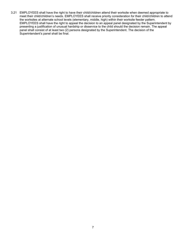3.21 EMPLOYEES shall have the right to have their child/children attend their worksite when deemed appropriate to meet their child/children's needs. EMPLOYEES shall receive priority consideration for their child/children to attend the worksites at alternate school levels (elementary, middle, high) within their worksite feeder pattern. EMPLOYEES shall have the right to appeal the decision to an appeal panel designated by the Superintendent by presenting a justification of unusual hardship or disservice to the child should the decision remain. The appeal panel shall consist of at least two (2) persons designated by the Superintendent. The decision of the Superintendent's panel shall be final.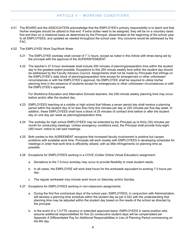## *ARTICLE 4 – WORKING CONDITIONS*

- <span id="page-11-0"></span>4.01 The BOARD and the ASSOCIATION acknowledge that the EMPLOYEE's primary responsibility is to teach and that his/her energies should be utilized to that end. If extra duties need to be assigned, they will be on a voluntary basis first and then on a rotational basis as determined by the Principal, disseminated at the beginning of the school year to all EMPLOYEES, and updated as needed throughout the school year. Any concerns would be addressed by the FAC.
- 4.02 The EMPLOYEE Work Day/Work Week
	- 4.21 The EMPLOYEE workday shall consist of 7  $\frac{1}{2}$  hours, except as noted in this Article with times being set by the principal with the approval of the SUPERINTENDENT.
	- 4.22 The teacher's 37.5-hour workweek shall include 250 minutes of planning/preparation time within the student day to the greatest extent possible. Exceptions to this 250 minute weekly time within the student day should be addressed by the Faculty Advisory Council. Assignments shall not be made by Principals that infringe on the EMPLOYEE's daily block of planning/preparation time except for emergencies or other unforeseen circumstances or with the EMPLOYEE's approval. No EMPLOYEE shall be required to utilize his/her planning time in the presence of students except for emergencies or other unforeseen circumstances or with the EMPLOYEE's approval.

For Workforce Education and Alternative Schools teachers, the 250-minute weekly planning time may occur before and/or after the student day.

- 4.23 EMPLOYEES teaching at a middle or high school that follows a seven period day shall receive a planning period within the student day of no less than forty-five minutes per day or 225 minutes per five-day week. In addition, these EMPLOYEES shall have a block of 25 minutes of contract time before or after the student day on one day per week as planning/preparation time.
- 4.24 The workday for high school EMPLOYEES may be extended by the Principal up to thirty (30) minutes per month for conducting meetings. Unless emergency conditions exist, the Principal shall provide forty-eight (48) hours' notice to call said meetings.
- 4.25 Both parties to this AGREEMENT recognize that increased faculty involvement is positive but causes problems with available work time. Principals will work closely with EMPLOYEES in developing schedules for meetings in order that work time is efficiently utilized, with as little infringements on planning time as possible.
- 4.26 Exceptions for EMPLOYEES working in a COVE (Collier Online Virtual Education) assignment:
	- a. Deviations to the 7.5-hour workday may occur to provide flexibility to meet student needs.
	- b. In all cases, the EMPLOYEE will work total hours for the workweek equivalent to working 7.5 hours per day.
	- c. The regular workweek may include work hours on Saturday and/or Sunday.
- 4.27 Exceptions for EMPLOYEES working in non-classroom assignments:
	- a. During the first five contractual days of the school year, EMPLOYEES, in conjunction with Administration, will develop a planning time schedule within the student day as per 4.022 with the understanding that planning time may be adjusted within the student day based on the needs of the school as directed by the principal.
	- b. In the event of a 1.0 FTE vacancy or extended approved leave, EMPLOYEES in same position who assume additional responsibilities for five (5) consecutive student days will be compensated per Appendix A Differentiated Pay for Additional Responsibilities in Lieu of Planning Period commencing on the 6th day.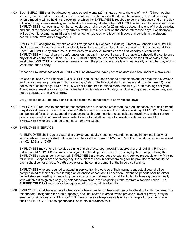4.03 Each EMPLOYEE shall be allowed to leave school twenty (20) minutes prior to the end of the 7 1/2-hour teacher work day on those days when students are in attendance but not in attendance the following day and on a day when a meeting will be held in the evening at which the EMPLOYEE is required to be in attendance and on the day following a day when a meeting will be held in the evening at which the EMPLOYEE is required to be in attendance. EMPLOYEES in schools in which the schedule does not provide for 20 minutes between the end of the student day and end of the teacher workday may arrive at work 20 minutes later on the above referenced days. Consideration will be given to exempting middle and high school employees who teach all blocks and periods in the student schedule from extra-duty assignments.

EMPLOYEES assigned to Immokalee and Everglades City Schools, excluding Alternative Schools EMPLOYEES, shall be allowed to leave school immediately following student dismissal in accordance with the above conditions. Each EMPLOYEE may arrive late or leave early from work 20 minutes on the first workday of each week. EMPLOYEES will attend parent conferences on that day in the event a parent is unable to schedule the conference any other day of the week. If an EMPLOYEE must participate in a parent conference on the first workday of the week, the EMPLOYEE shall receive permission from the principal to arrive late or leave early on another day of that week other than Friday.

Under no circumstances shall an EMPLOYEE be allowed to leave prior to student dismissal under this provision.

Unless excused by the Principal, EMPLOYEES shall attend open house/parent nights and/or graduation exercises and contract make-up days (e.g. "hurricane days," etc.). The Principal shall designate and provide three (3) days' notice for such meetings. EMPLOYEES will not be required to attend more than two (2) such meetings per year. Attendance at meetings or school activities held on Saturdays or Sundays, exclusive of graduation exercises, shall not be obligatory for EMPLOYEES.

Early release days: The provisions of subsection 4.03 do not apply to early release days.

4.04 EMPLOYEES required to conduct parent conferences at locations other than their regular school(s) of assignment may do so at times outside of their normal 196-day contract year and the 7.5-hour workday. EMPLOYEES shall be compensated for all time expended in conducting such parent conferences, including travel time, at their current hourly rate based on approved timesheets. Every effort shall be made to provide a safe environment for EMPLOYEES who are required to conduct home visitations.

#### 4.05 EMPLOYEE INSERVICE

An EMPLOYEE shall regularly attend in-service and faculty meetings. Attendance at any in-service, faculty, or school-related meetings shall not be required beyond the normal 7 1/2-hour EMPLOYEE workday except as noted in 4.02, 4.03 and 12.05.

EMPLOYEES may attend in-service training of their choice upon receiving approval of their building Principal. Individual EMPLOYEES also may be assigned to attend specific in-service training by the Principal during the EMPLOYEE's regular contract period. EMPLOYEES are encouraged to submit in-service proposals to the Principal for review. Except in case of emergency, the subject of each in-service training will be provided to the faculty of each school center at least five (5) days prior to the commencement of the in-service training.

EMPLOYEES who are required to attend in-service training outside of their normal contractual year shall be compensated at their daily rate through an extension of contract. Furthermore, extension periods shall be either immediately succeeding or preceding the normal contractual year and shall be limited to three (3) days annually with written notice given ninety (90) calendar days prior to the beginning of the contract extension period. The SUPERINTENDENT may waive the requirement to attend at his discretion.

4.06 EMPLOYEES shall have access to the use of a telephone for professional use or to attend to family concerns. The telephone(s) designated for such purpose(s) shall be located in areas, which provide a level of privacy. Only in emergency situations, shall EMPLOYEES make or receive telephone calls while in charge of pupils. In no event shall an EMPLOYEE use telephone facilities to make business calls.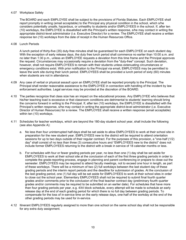### 4.07 Workplace Safety

The BOARD and each EMPLOYEE shall be subject to the provisions of Florida Statutes. Each EMPLOYEE shall report promptly in writing (email acceptable) to the Principal any physical condition in the school, which s/he considers potentially unsafe, hazardous, or unhealthy to students and/or EMPLOYEES in the school. If, after ten (10) workdays, the EMPLOYEE is dissatisfied with the Principal's written response, s/he may contact in writing the appropriate district-level administrator (i.e. Executive Director) for a review. The EMPLOYEE shall receive a written response ten (10) workdays from the date of receipt in the Human Resources Office.

#### 4.08 Lunch Periods

A lunch period of thirty-five (35) duty-free minutes shall be guaranteed for each EMPLOYEE on each student day. With the exception of early release days, the duty free lunch period shall commence no earlier than 10:00 a.m. and no later than 1:30 p.m., unless an EMPLOYEE requests a deviation from this time frame and the Principal approves the request. Circumstances may occasionally require a deviation from the "duty-free" concept. Such deviation, however, shall not require EMPLOYEES to remain with their students unless extenuating circumstances or emergency conditions exist. With prior notification to the Principal via email, EMPLOYEES may be permitted to leave the work site during their lunch period. EMPLOYEES shall be provided a lunch period of sixty (60) minutes when students are not in attendance.

- 4.09 Any case of verbal or physical assault upon an EMPLOYEE shall be reported promptly to the Principal. The Principal shall render reasonable assistance to the EMPLOYEE in connection with handling of the incident by law enforcement authorities. Legal services may be provided at the discretion of the BOARD.
- 4.10 The parties recognize that class size has an impact on the educational process. Any EMPLOYEE who believes that his/her teaching load is excessive or that classroom conditions are detrimental to students' learning should bring the concerns forward in writing to the Principal. If, after ten (10) workdays, the EMPLOYEE is dissatisfied with the Principal's written response, s/he may contact in writing the appropriate district-level administrator (i.e. Executive Director of Human Resources) for a review. The EMPLOYEE shall receive a written response (email acceptable) within ten (10) workdays.
- 4.11 Schedules for teacher workdays, which are beyond the 180-day student school year, shall include the following (see also Appendix A):
	- a. No less than four uninterrupted half-days shall be set aside to allow EMPLOYEES to work at their school site in preparation for the new student year. EMPLOYEES new to the district will be required to attend orientation sessions for up to two days outside of their regular contract. For the purposes of this provision, a "one-half (1/2) day" shall consist of no less than three (3) consecutive hours and "EMPLOYEES new to the district" does not include former EMPLOYEES returning to the district with a break in service of 18 calendar months or less.
	- b. For schedules with four or fewer grading periods per year, no less than one (1) day shall be set aside for EMPLOYEES to work at their school site at the conclusion of each of the first three grading periods in order to complete the grade-reporting process, engage in planning and parent conferencing or prepare to close out the semester. EMPLOYEES may be required to attend faculty meetings, not to exceed one hour in length, as part of these workdays. There will be a minimum of two (2) full workdays between the last student day of these grading periods and the interim report periods and the deadline for submission of grades. At the conclusion of the last grading period, one (1) full day will be set aside for EMPLOYEES to work at their school sites in order to close out the school year. Elementary EMPLOYEES shall not be required to submit final fourth quarter grades and/or comments prior to the conclusion of the final teacher contract day (preliminary fourth quarter grades and/or comments may be required to be submitted on an earlier date). For schedules that have more than four grading periods per year, e.g. 4X4 block schedule, every attempt will be made to schedule an early release day at the end of each grading period for which there is no full day between grading periods. To compensate for the loss of in-service time on the early release days, one-half of the workday at the end of the other grading periods may be used for in-service.
- 4.12 Itinerant EMPLOYEES regularly assigned to more than one school on the same school day shall not be responsible for any extra duty assignment.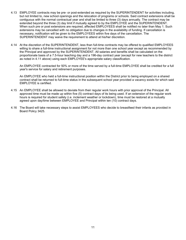- 4.13 EMPLOYEE contracts may be pre- or post-extended as required by the SUPERINTENDENT for activities including, but not limited to, new school openings and the relocation of programs or schools. Said contract extensions shall be contiguous with the normal contractual year and shall be limited to three (3) days annually. The contract may be extended beyond the three (3) day limit if mutually agreed to by the EMPLOYEE and the SUPERINTENDENT. When such pre or post extensions are required, affected EMPLOYEES shall be notified no later than May 1. Such extensions may be cancelled with no obligation due to changes in the availability of funding. If cancellation is necessary, notification will be given to the EMPLOYEES within five days of the cancellation. The SUPERINTENDENT may waive the requirement to attend at his/her discretion.
- 4.14 At the discretion of the SUPERINTENDENT, less than full-time contracts may be offered to qualified EMPLOYEES willing to share a full-time instructional assignment for not more than one school year except as recommended by the Principal and approved by the SUPERINTENDENT. All salaries and benefits shall be calculated on the proportionate basis of a 7.5-hour teaching day and a 196-day contract year (except for new teachers to the district as noted in 4.11 above) using each EMPLOYEE's appropriate salary classification.

An EMPLOYEE contracted for 50% or more of the time served by a full-time EMPLOYEE shall be credited for a full year's service for salary and retirement purposes.

An EMPLOYEE who held a full-time instructional position within the District prior to being employed on a shared contract shall be returned to full-time status in the subsequent school year provided a vacancy exists for which said EMPLOYEE is certified.

- 4.15 An EMPLOYEE shall be allowed to deviate from their regular work hours with prior approval of the Principal. All approved time must be made up within five (5) contract days of its being used. If an extension of the regular work hours is required for student safety (i.e. inclement weather or lockdown), time must be restored at a mutually agreed upon day/time between EMPLOYEE and Principal within ten (10) contract days.
- 4.16 The Board will take necessary steps to assist EMPLOYEES who decide to breastfeed their infants as provided in Board Policy 3425.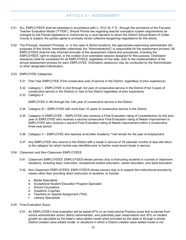## *ARTICLE 5 – ASSESSMENT*

- <span id="page-15-0"></span>5.01 ALL EMPLOYEES shall be assessed in accordance with s. 1012.34, F.S., through the provisions of the Focused Teacher Evaluation Model ("FTEM"). Should Florida law regarding teacher evaluation system requirements be changed by the Florida legislature or overturned by a court decision to which the District School Board of Collier County is subject, the parties agree to promptly renew collective bargaining negotiations for this article.
- 5.02 The Principal, Assistant Principal, or, in the case of district locations, the appropriate supervising administrator (for purposes of this Article, hereinafter collectively the "Administrator[s]") is responsible for the assessment process. All EMPLOYEES shall be fully informed annually of the assessment criteria and procedures, including the EMPLOYEES' right to respond, in the context of an orientation session designed for this purpose. Orientation session(s) shall be completed for all EMPLOYEES, regardless of hire date, prior to the implementation of the annual assessment process for each EMPLOYEE. Orientation session(s) may be conducted by the Administrator or other designated individual(s).

#### 5.03 EMPLOYEE Categories

- 5.31 First Year EMPLOYEE (First consecutive year of service in the District, regardless of prior experience)
- 5.32 Category I EMPLOYEE in 2nd through 3rd year of consecutive service in the District (First 3 years of consecutive service in the District) or new to the District regardless of prior experience
- 5.33 Category II

EMPLOYEE in 4th through the 10th year of consecutive service in the District

- 5.34 Category III EMPLOYEE with more than 10 years of consecutive service in the District
- 5.35 Category IV EMPLOYEE EMPLOYEE who receives a Final Evaluation rating of Unsatisfactory for the prior year or EMPLOYEE who receives a second consecutive Final Evaluation rating of Needs Improvement or EMPLOYEE who receives a second Final Evaluation rating of Needs Improvement within a consecutive three-year period
- 5.36 Category V EMPLOYEE who teaches at eCollier Academy \*\*will remain for the year of employment
- 5.37 Any EMPLOYEE who returns to the District with a break in service of 18 calendar months or less will return to the category for which he/she was identified prior to his/her most recent break in service.
- 5.04 Classroom and Non-Classroom EMPLOYEES
	- 5.41 Classroom EMPLOYEES: EMPLOYEES whose primary duty is instructing students in courses in classroom situations, including basic instruction, exceptional student education, career education, and adult education.
	- 5.42 Non-Classroom EMPLOYEES: EMPLOYEES whose primary duty is to support the instructional process by means other than providing direct instruction to students, to include:
		- a. Media Specialists
		- b. Exceptional Student Education Program Specialist
		- c. School Counselors
		- d. Academic Coaches
		- e. Teachers on Special Assignment (TSA)
		- f. Literacy Specialists
- 5.05 Final Evaluation Score:
	- 5.51 An EMPLOYEE's final evaluation will be based 67% on an Instructional Practice score that is earned from school administrator and/or district administrator, and potentially peer observations and 33% on student growth as calculated by the state's value-added model when provided by the state or through a similar District created value-added model. In situations in which a District created value-added model is not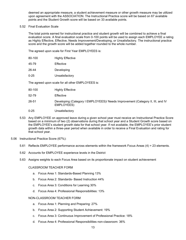deemed an appropriate measure, a student achievement measure or other growth measure may be utilized upon agreement with the ASSOCIATION. The Instructional Practice score will be based on 67 available points and the Student Growth score will be based on 33 available points.

#### 5.52 Final Evaluation Scale

The total points earned for instructional practice and student growth will be combined to achieve a final evaluation score. A final evaluation scale from 0-100 points will be used to assign each EMPLOYEE a rating as Highly Effective, Effective, Needs Improvement/Developing, or Unsatisfactory. The instructional practice score and the growth score will be added together rounded to the whole number.

The agreed upon scale for First Year EMPLOYEES is:

| 80-100 | <b>Highly Effective</b> |
|--------|-------------------------|
|        |                         |

- 26-44 Developing
- 0-25 Unsatisfactory

The agreed upon scale for all other EMPLOYEES is:

| 80-100 | <b>Highly Effective</b> |
|--------|-------------------------|
|        |                         |

- 52-79 Effective
- 26-51 Developing (Category I EMPLOYEES)/ Needs Improvement (Category II, III, and IV EMPLOYEES)
- 0-25 Unsatisfactory
- 5.53 Any EMPLOYEE on approved leave during a given school year must receive an Instructional Practice Score based on a minimum of two (2) observations during that school year and a Student Growth score based on the EMPLOYEE's student growth data for that school year. If not available, the EMPLOYEE's prior student growth data within a three-year period when available in order to receive a Final Evaluation and rating for that school year.
- 5.06 Instructional Practice Score (67%):
	- 5.61 Reflects EMPLOYEE performance across elements within the framework Focus Areas (4) = 23 elements.
	- 5.62 Accounts for EMPLOYEE experience levels in the District
	- 5.63 Assigns weights to each Focus Area based on its proportionate impact on student achievement

#### CLASSROOM TEACHER FORM

- a. Focus Area 1: Standards-Based Planning 13%
- b. Focus Area 2: Standards- Based Instruction 44%
- c. Focus Area 3: Conditions for Learning 30%
- d. Focus Area 4: Professional Responsibilities: 13%

#### NON-CLASSROOM TEACHER FORM

- a. Focus Area 1: Planning and Preparing: 27%
- b. Focus Area 2: Supporting Student Achievement: 19%
- c. Focus Area 3: Continuous Improvement of Professional Practice: 18%
- d. Focus Area 4: Professional Responsibilities non-classroom: 36%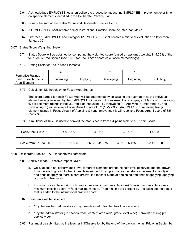- 5.64 Acknowledges EMPLOYEE focus on deliberate practice by measuring EMPLOYEE improvement over time on specific elements identified in the Deliberate Practice Plan
- 5.65 Equals the sum of the Status Score and Deliberate Practice Score
- 5.66 All EMPLOYEES shall receive a final Instructional Practice Score no later than May 15
- 5.67 First Year EMPLOYEES and Category IV EMPLOYEES shall receive a mid-year evaluation no later than January 30
- 5.07 Status Score Weighting System
	- 5.71 Status Score will be obtained by computing the weighted score (based on assigned weights in 5.063) of the four Focus Area Scores (see 5.073 for Focus Area score calculation methodology)
	- 5.72 Rating Scale for Focus Area Elements

| <b>Formative Ratings</b><br>used for each Focus<br>Area Element | Innovating | Applying | Developing | Beginning | Not Using |
|-----------------------------------------------------------------|------------|----------|------------|-----------|-----------|

5.73 Calculation Methodology for Focus Area Scores

The score earned for each Focus Area will be determined by calculating the average of all the individual element ratings received by the EMPLOYEE within each Focus Area. For example, an EMPLOYEE receiving five (5) element ratings in Focus Area 1 of Innovating (4), Innovating (4), Applying (3), Applying (3), and Developing (2) will receive a Focus Area 1 score of 3.2 (16/5 = 3.2). An EMPLOYEE receiving two (2) element ratings in Focus Area 4 of Applying (3) and Innovating (4) will receive a Focus Area 4 score of 3.5  $(7/2 = 3.5)$ .

5.74 A multiplier of 16.75 is used to convert the status score from a 4-point scale to a 67-point scale.

| Scale from $4.0$ to $0.0$ | $4.0 - 3.5$     | $3.4 - 2.5$      | $2.4 - 1.5$     | $1.4 - 0.0$   |
|---------------------------|-----------------|------------------|-----------------|---------------|
| Scale from 67.0 to 0.0    | $67.0 - 58.625$ | $56.95 - 41.875$ | $40.2 - 25.125$ | $23.45 - 0.0$ |

- 5.08 Deliberate Practice ~ ALL teachers will participate
	- 5.81 Additive model ~ positive impact ONLY
		- a. Calculation: Final performance level for target elements are the highest level observed and the growth from the starting point to the highest level earned. Example: if a teacher starts an element at applying and ends at applying there is zero growth. If a teacher starts at beginning and ends at applying, applying is growth of two levels.
		- b. Formula for calculation: (Growth plan score minimum possible score) / (maximum possible score minimum possible score) = % of maximum score. Then multiply the percent by 1 to calculate the bonus that is added to the instructional practice score.
	- 5.82 2 elements will be selected
		- a. 1 by the teacher (administrator may provide input  $\sim$  teacher has final decision)
		- b. 1 by the administrator (i.e.: school-wide, content area wide, grade level wide)  $\sim$  provided during preservice week
	- 5.83 Plan must be submitted by the teacher in iObservation by the end of the day on the last Friday in September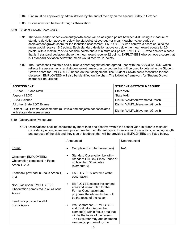- 5.84 Plan must be approved by administrators by the end of the day on the second Friday in October
- 5.85 Discussions can be held through iObservation.
- 5.09 Student Growth Score (33%):
	- 5.91 The value-added or achievement/growth score will be assigned points between 4-33 using a measure of standard deviation above or below the state/district average (or mean) teacher value-added or achievement/growth score for the identified assessment. EMPLOYEES who achieve a score equal to the mean would receive 16.5 points. Each standard deviation above or below the mean would equate to 5.5 points, with a maximum of 33 possible points and a minimum of 4 points. EMPLOYEES who achieve a score that is 1 standard deviation above the mean would receive 22 points. EMPLOYEES who achieve a score that is 1 standard deviation below the mean would receive 11 points.
	- 5.92 The District shall maintain and publish a chart negotiated and agreed upon with the ASSOCIATION, which reflects the assessments and student growth measures by course that will be used to determine the Student Growth score for EMPLOYEES based on their assignment. The Student Growth score measures for nonclassroom EMPLOYEES will also be identified on the chart. The following framework for Student Growth scores will be utilized:

| <b>ASSESSMENT</b>                                                                                    | <b>STUDENT GROWTH MEASURE</b>   |
|------------------------------------------------------------------------------------------------------|---------------------------------|
| FSA for ELA and Math                                                                                 | State VAM                       |
| Algebra I EOC                                                                                        | State VAM                       |
| <b>FCAT Science</b>                                                                                  | District VAM/Achievement/Growth |
| All other State EOC Exams                                                                            | District VAM/Achievement/Growth |
| District EOC Exams/Assessments (all levels and subjects not associated<br>with statewide assessment) | District VAM/Achievement/Growth |

## 5.10 Observation Procedures

5.101 Observations shall be conducted by more than one observer within the school year. In order to maintain consistency among observers, procedures for the different types of classroom observations, including length and purpose of the visit and they type of feedback that will be provided to EMPLOYEES are listed below.

|                                                                           | Announced                                                                                                                                                                                                    | Unannounced |
|---------------------------------------------------------------------------|--------------------------------------------------------------------------------------------------------------------------------------------------------------------------------------------------------------|-------------|
| Formal                                                                    | Completed by Site Evaluator(s)<br>$\bullet$                                                                                                                                                                  | N/A         |
| Classroom EMPLOYEES:<br>Observation completed in Focus<br>Areas 1, 2, 3   | Standard Observation Length -<br>Standard Full Day Class Period or<br>no less than 50 minutes<br>(elementary)                                                                                                |             |
| Feedback provided in Focus Areas 1,<br>2, 3                               | EMPLOYEE is informed of the<br>$\bullet$<br>observation                                                                                                                                                      |             |
| Non-Classroom EMPLOYEES:<br>Observation completed in all 4 Focus<br>Areas | <b>EMPLOYEE</b> selects the content<br>area and lesson plan for the<br>Formal Observation and<br>proposes the elements that will<br>be the focus of the lesson.                                              |             |
| Feedback provided in all 4<br>Focus Areas                                 | Pre-Conference - EMPLOYEE<br>$\bullet$<br>and Evaluator discuss the<br>element(s) within focus area that<br>will be the focus of the lesson.<br>The Evaluator may add or amend<br>element(s) proposed by the |             |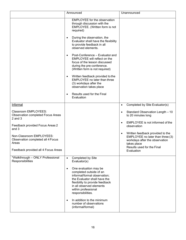|                                                                                                                                                                                                                                              | Announced                                                                                                                                                                                                                                                                                                                                                                                                                                                                                                                                                                                                                          | Unannounced                                                                                                                                                                                                                                                                                                          |
|----------------------------------------------------------------------------------------------------------------------------------------------------------------------------------------------------------------------------------------------|------------------------------------------------------------------------------------------------------------------------------------------------------------------------------------------------------------------------------------------------------------------------------------------------------------------------------------------------------------------------------------------------------------------------------------------------------------------------------------------------------------------------------------------------------------------------------------------------------------------------------------|----------------------------------------------------------------------------------------------------------------------------------------------------------------------------------------------------------------------------------------------------------------------------------------------------------------------|
|                                                                                                                                                                                                                                              | EMPLOYEE for the observation<br>through discussion with the<br>EMPLOYEE. (Written form is not<br>required)<br>During the observation, the<br>$\bullet$<br>Evaluator shall have the flexibility<br>to provide feedback in all<br>observed elements.<br>Post-Conference - Evaluator and<br>$\bullet$<br>EMPLOYEE will reflect on the<br>focus of the lesson discussed<br>during the pre-conference.<br>(Written form is not required)<br>Written feedback provided to the<br>$\bullet$<br>EMPLOYEE no later than three<br>(3) workdays after the<br>observation takes place<br>Results used for the Final<br>$\bullet$<br>Evaluation |                                                                                                                                                                                                                                                                                                                      |
| Informal                                                                                                                                                                                                                                     |                                                                                                                                                                                                                                                                                                                                                                                                                                                                                                                                                                                                                                    | Completed by Site Evaluator(s)<br>$\bullet$                                                                                                                                                                                                                                                                          |
| Classroom EMPLOYEES:<br><b>Observation completed Focus Areas</b><br>$2$ and $3$<br>Feedback provided Focus Areas 2<br>and 3<br>Non-Classroom EMPLOYEES:<br>Observation completed all 4 Focus<br>Areas<br>Feedback provided all 4 Focus Areas |                                                                                                                                                                                                                                                                                                                                                                                                                                                                                                                                                                                                                                    | Standard Observation Length - 10<br>$\bullet$<br>to 20 minutes long<br>EMPLOYEE is not informed of the<br>$\bullet$<br>observation<br>Written feedback provided to the<br>$\bullet$<br>EMPLOYEE no later than three (3)<br>workdays after the observation<br>takes place<br>Results used for the Final<br>Evaluation |
| *Walkthrough - ONLY Professional<br>Responsibilities                                                                                                                                                                                         | Completed by Site<br>$\bullet$<br>Evaluator(s)<br>One evaluation may be<br>$\bullet$<br>completed outside of an<br>informal/formal observation;<br>the Evaluator shall have the<br>flexibility to provide feedback<br>in all observed elements<br>within professional<br>responsibilities.<br>In addition to the minimum<br>$\bullet$<br>number of observations<br>(informal/formal)                                                                                                                                                                                                                                               |                                                                                                                                                                                                                                                                                                                      |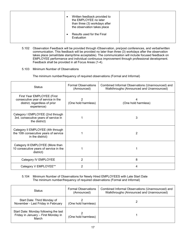| Written feedback provided to<br>the EMPLOYEE no later<br>than three (3) workdays after<br>the observation takes place<br>Results used for the Final<br>Evaluation |
|-------------------------------------------------------------------------------------------------------------------------------------------------------------------|
|-------------------------------------------------------------------------------------------------------------------------------------------------------------------|

- 5.102 Observation Feedback will be provided through iObservation, pre/post conferences, and verbal/written communication. This feedback will be provided no later than three (3) workdays after the observation takes place (email/date stamp/time acceptable). The communication will include focused feedback on EMPLOYEE performance and individual continuous improvement through professional development. Feedback shall be provided in all Focus Areas (1-4).
- 5.103 Minimum Number of Observations

The minimum number/frequency of required observations (Formal and Informal)

| <b>Status</b>                                                                                                    | <b>Formal Observations</b><br>(Announced) | Combined Informal Observations (Unannounced) and<br>Walkthroughs (Announced and Unannounced) |
|------------------------------------------------------------------------------------------------------------------|-------------------------------------------|----------------------------------------------------------------------------------------------|
| First Year EMPLOYEE (First<br>consecutive year of service in the<br>district, regardless of prior<br>experience) | (One hold harmless)                       | (One hold harmless)                                                                          |
| Category I EMPLOYEE (2nd through<br>3rd. consecutive years of service in<br>the district)                        |                                           | 3                                                                                            |
| Category II EMPLOYEE (4th through<br>the 10th consecutive years of service<br>in the district)                   |                                           | 2                                                                                            |
| Category III EMPLOYEE (More than<br>10 consecutive years of service in the<br>district)                          |                                           |                                                                                              |
| Category IV EMPLOYEE                                                                                             | 2                                         | 8                                                                                            |
| Category V EMPLOYEE**                                                                                            | 2                                         |                                                                                              |

### 5.104 Minimum Number of Observations for Newly Hired EMPLOYEES with Late Start Date The minimum number/frequency of required observations (Formal and Informal)

| <b>Status</b>                                                                         | <b>Formal Observations</b><br>(Announced) | Combined Informal Observations (Unannounced) and<br>Walkthroughs (Announced and Unannounced) |
|---------------------------------------------------------------------------------------|-------------------------------------------|----------------------------------------------------------------------------------------------|
| Start Date: Third Monday of<br>November - Last Friday in February                     | (One hold harmless)                       |                                                                                              |
| Start Date: Monday following the last<br>Friday in January - First Monday in<br>March | (One hold harmless)                       |                                                                                              |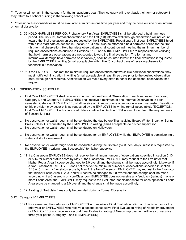\*\* Teacher will remain in the category for the full academic year. Their category will revert back their former category if they return to a school building in the following school year.

\* Professional Responsibilities must be evaluated at minimum one time per year and may be done outside of an informal or formal observation.

- 5.105 HOLD HARMLESS PERIOD: Probationary First Year EMPLOYEES shall be afforded a hold harmless period. The first (1st) formal observation and the first (1st) informal/walkthrough observation will not count toward the final evaluation unless requested by the EMPLOYEE. Probationary first year EMPLOYEES hired with a late start date as defined in Section 5.104 shall also be afforded a hold harmless period for the first (1st) formal observation. Hold harmless observations shall count toward meeting the minimum number of required observations as outlined in Sections 5.103 and 5.104. EMPLOYEES are responsible for verifying that hold harmless observations are not counted toward the final evaluation. The formal and informal/walkthrough hold harmless observation(s) shall be counted toward the final evaluation if requested by the EMPLOYEE in writing (email acceptable) within five (5) contract days of receiving observation feedback in iObservation.
- 5.106 If the EMPLOYEE has met the minimum required observations but would like additional observations; they must notify Administration in writing (email acceptable) at least three days prior to the desired observation date. Although not required, Administration will make every effort to honor the additional observation time request.

### 5.11 OBSERVATION SCHEDULE:

- a. First Year EMPLOYEES shall receive a minimum of one Formal Observation in each semester. First Year, Category I, and Category II EMPLOYEES shall receive a minimum of one Informal Observation in each semester. Category III EMPLOYEES shall receive a minimum of one observation in each semester. Deviations to this provision may occur only as requested by the EMPLOYEE in writing (email acceptable). (EXCEPTION: First Year EMPLOYEES with a late start date as defined in Section 5.104 are excluded from the requirements of Section 5.11 a.)
- b. No observation or walkthrough shall be conducted the day before Thanksgiving Break, Winter Break, or Spring Break unless it is requested by the EMPLOYEE in writing (email acceptable) to his/her supervisor.
- c. No observation or walkthrough shall be conducted on Halloween.
- d. No observation or walkthrough shall be conducted for an EMPLOYEE while that EMPLOYEE is administering a state or district assessment.
- e. No observation or walkthrough shall be conducted during the first five (5) student days unless it is requested by the EMPLOYEE in writing (email acceptable) to his/her supervisor.
- 5.111 If a Classroom EMPLOYEE does not receive the minimum number of observations specified in section 5.13 or 5.14 for his/her status score by May 1, the Classroom EMPLOYEE may request to the Evaluator that his/her Focus Area 1 score be changed to 3.0 overall and the change shall be made accordingly. Likewise, if a Non-Classroom EMPLOYEE does not receive the minimum number of observations specified in section 5.13 or 5.14 for his/her status score by May 1, the Non-Classroom EMPLOYEE may request to the Evaluator that his/her Focus Area 1, 2, 3, and/or 4 scores be changed to 3.0 overall and the change shall be made accordingly. If a Classroom or Non-Classroom EMPLOYEE does not receive any feedback (ratings) in one or more Focus Area, the EMPLOYEE may request to the Evaluator that his/her score for each applicable Focus Area score be changed to a 3.0 overall and the change shall be made accordingly.
- 5.112 A rating of "Not Using" may only be provided during a Formal Observation.

#### 5.12 Category IV EMPLOYEES

5.121 Processes and Procedures for EMPLOYEES who receive a Final Evaluation rating of Unsatisfactory for the prior year or EMPLOYEES who receive a second consecutive Final Evaluation rating of Needs Improvement or EMPLOYEES who receive a second Final Evaluation rating of Needs Improvement within a consecutive three-year period (Category II and III EMPLOYEES)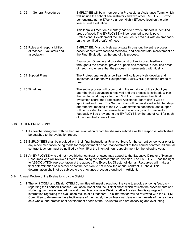| 5.122               | <b>General Procedures</b>                                      | EMPLOYEE will be a member of a Professional Assistance Team, which<br>will include the school administrators and two other EMPLOYEES who<br>demonstrate at the Effective and/or Highly Effective level on the prior<br>year's Final Evaluation.                                                                                                                                                                                                                                                                                                                                                                                         |
|---------------------|----------------------------------------------------------------|-----------------------------------------------------------------------------------------------------------------------------------------------------------------------------------------------------------------------------------------------------------------------------------------------------------------------------------------------------------------------------------------------------------------------------------------------------------------------------------------------------------------------------------------------------------------------------------------------------------------------------------------|
|                     |                                                                | This team will meet on a monthly basis to provide support in identified<br>areas of need. The EMPLOYEE will be required to participate in<br>Professional Development focused on Focus Area 1-4 with an emphasis<br>on the identified area(s) of need.                                                                                                                                                                                                                                                                                                                                                                                  |
| association         | 5.123 Roles and responsibilities<br>of teacher, Evaluators and | EMPLOYEE: Must actively participate throughout the entire process,<br>accept constructive focused feedback, and demonstrate improvement on<br>the Final Evaluation at the end of this process.                                                                                                                                                                                                                                                                                                                                                                                                                                          |
|                     |                                                                | Evaluators: Observe and provide constructive focused feedback<br>throughout the process, provide support and mentors in identified areas<br>of need, and ensure that the process is implemented with fidelity.                                                                                                                                                                                                                                                                                                                                                                                                                          |
| 5.124 Support Plans |                                                                | The Professional Assistance Team will collaboratively develop and<br>implement a plan that will support the EMPLOYEE's identified areas of<br>need.                                                                                                                                                                                                                                                                                                                                                                                                                                                                                     |
| 5.125 Timelines     |                                                                | The entire process will occur during the remainder of the school year<br>after the final evaluation is received and the process is initiated. Within<br>the first ten work days after the EMPLOYEE receives their final<br>evaluation score, the Professional Assistance Team (PAT) will be<br>appointed and meet. The Support Plan will be developed within ten days<br>after the first meeting of the PAT. Observations, feedback, and support<br>will be provided for the remainder of the school year. Formal written<br>feedback will be provided to the EMPLOYEE by the end of April for each<br>of the identified areas of need. |

#### 5.13 OTHER PROVISIONS

- 5.131 If a teacher disagrees with his/her final evaluation report, he/she may submit a written response, which shall be attached to the evaluation report.
- 5.132 EMPLOYEES shall be provided with their final Instructional Practice Score for the current school year prior to any recommendation being made for reappointment or non-reappointment of their annual contract. All annual contract teachers must be notified by May 15 of the intent of non-reappointment for the following year.
- 5.133 An EMPLOYEE who did not have his/her contract renewed may appeal to the Executive Director of Human Resources who will review all facts surrounding the contract renewal decision. The EMPLOYEE has the right to ASSOCIATION representation at the appeal. The Executive Director of Human Resources will make a final determination on whether or not the decision to not renew the annual contract is upheld. This determination shall not be subject to the grievance procedure outlined in Article 8.

#### 5.14 Annual Review of the Evaluations by the District

5.141 The joint CCEA and District CTEM Committee will meet throughout the year to provide ongoing feedback regarding the Focused Teacher Evaluation Model and the District chart, which reflects the assessments and student growth measures. At the end of each school year District staff will review the disaggregated information regarding the evaluation results of all teachers. This information will be reviewed with the CTEM Committee to determine the effectiveness of the model, the professional development needs of the teachers as a whole, and professional development needs of the Evaluators who are observing and evaluating.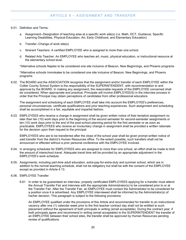- <span id="page-23-0"></span>6.01. Definition and Terms:
	- a. Assignment--Designation of teaching area at a specific work site(s) (i.e. Math, DCT, Guidance, Specific Learning Disabilities, Physical Education, Art, Early Childhood, and Elementary Education)
	- b. Transfer--Change of work site(s)
	- c. Itinerant Teachers: A certified EMPLOYEE who is assigned to more than one school.
	- d. Related Arts Teacher: An EMPLOYEE who teaches art, music, physical education, or instructional resource at the elementary school level.

\*Alternative schools Naples to be considered one site inclusive of Beacon, New Beginnings, and Phoenix programs

\*Alternative schools Immokalee to be considered one site inclusive of Beacon, New Beginnings, and Phoenix programs

6.02. The BOARD and the ASSOCIATION recognize that the assignment and/or transfer of each EMPLOYEE within the Collier County School System is the responsibility of the SUPERINTENDENT, with recommendation to and approval by the BOARD. In making any assignment, the reasonable requests of the EMPLOYEE concerned shall be considered. When appropriate and practical, Principals will involve EMPLOYEE(S) in the interview process in order that the Principal may obtain perceptions of candidates from other professional educators.

The assignment and scheduling of each EMPLOYEE shall take into account the EMPLOYEE's preferences, personal circumstances, certificate qualifications and prior teaching experiences. Such assignment and scheduling shall be accomplished in a fair, equitable and impartial fashion.

6.03. EMPLOYEES who receive a change in assignment shall be given written notice of their tentative assignment no later than ten (10) work days prior to the beginning of the second semester for second-semester assignments or ten (10) work days prior to the end of the post-school planning period for the first semester or as soon as practicable. EMPLOYEES who receive an involuntary change in assignment shall be provided a written rationale for the decision upon their request to the principal.

EMPLOYEES who are to be transferred after the close of the school year shall be given prompt written notice of said transfer from the district's Human Resources office. To the extent possible, such transfers shall not be announced or effected without a prior personal conference with the EMPLOYEE involved.

- 6.04. In arranging schedules for EMPLOYEES who are assigned to more than one school, an effort shall be made to limit the amount of interschool travel. Adequate travel time will be provided by an appropriate adjustment in the EMPLOYEE's work schedule.
- 6.05. Assignments, including part-time adult education, extra-pay-for-extra-duty and summer school, which are in addition to the normal teaching schedule, shall not be obligatory but shall be with the consent of the EMPLOYEE except as provided in Article 4.13.
- 6.06. EMPLOYEE Transfer:
	- 6.61 In order to be guaranteed an interview, properly certificated EMPLOYEES applying for a transfer must attend the Annual Transfer Fair and interview with the appropriate Administrator(s) to be considered prior to or at the Transfer Fair. After the Transfer Fair, an EMPLOYEE must contact the Administrator to be considered for a position once it is advertised. Any EMPLOYEE interviewed shall be informed by the Administrator(s) of his/her decision. This paragraph is subject to the following provisions:

An EMPLOYEE qualified under the provisions of this Article and recommended for transfer to an instructional vacancy after one (1) calendar week prior to the first teacher contract day shall not be entitled to such placement without the agreement of both principals in writing (email acceptable). During the contract year, if both principals agree and recommend in writing (email acceptable) to the SUPERINTENDENT the transfer of an EMPLOYEE between their school sites, the transfer shall be approved by Human Resources pending review of qualifications.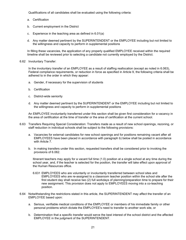Qualifications of all candidates shall be evaluated using the following criteria:

- a. Certification
- b. Current employment in the District
- c. Experience in the teaching area as defined in 6.01(a)
- d. Any matter deemed pertinent by the SUPERINTENDENT or the EMPLOYEE including but not limited to the willingness and capacity to perform in supplemental positions

In filling these vacancies, the application of any properly qualified EMPLOYEE received within the required timeline shall be reviewed prior to selecting a candidate not currently employed by the District.

6.62 Involuntary Transfer:

In the involuntary transfer of an EMPLOYEE as a result of staffing reallocation (except as noted in 6.063), Federal compliance requirements, or reduction in force as specified in Article 9, the following criteria shall be adhered to in the order in which they appear:

- a. Gender, if necessary for the supervision of students
- b. Certification
- c. District-wide seniority
- d. Any matter deemed pertinent by the SUPERINTENDENT or the EMPLOYEE including but not limited to the willingness and capacity to perform in supplemental positions

An EMPLOYEE involuntarily transferred under this section shall be given first consideration for a vacancy in the area of certification at the time of transfer or the area of certification at the current school.

- 6.63 Transfers Requiring Special Consideration: Transfers made as a result of new school openings, rezoning, or staff reduction in individual schools shall be subject to the following provisions:
	- a. Vacancies for external candidates for new school openings and for positions remaining vacant after all EMPLOYEES have been placed in accordance with paragraph b) below shall be posted in accordance with Article 7.
	- b. In making transfers under this section, requested transfers shall be considered prior to invoking the provisions of 6.062.

Itinerant teachers may apply for a vacant full time (1.0) position at a single school at any time during the school year, and, if the teacher is selected for the position, the transfer will take effect upon approval of the Human Resources office.

- 6.631 EMPLOYEES who are voluntarily or involuntarily transferred between school sites and EMPLOYEES who are re-assigned to a classroom teacher position within the school site after the first student day shall receive two (2) full workdays of planning/preparation time to prepare for their new assignment. This provision does not apply to EMPLOYEES moving into a co-teaching position.
- 6.64 Notwithstanding the restrictions stated in this article, the SUPERINTENDENT may affect the transfer of an EMPLOYEE based upon:
	- a. Serious, verifiable medical conditions of the EMPLOYEE or members of his immediate family or other personal problems which dictate the EMPLOYEE's need to transfer to another work site, or
	- b. Determination that a specific transfer would serve the best interest of the school district and the affected EMPLOYEE in the judgment of the SUPERINTENDENT.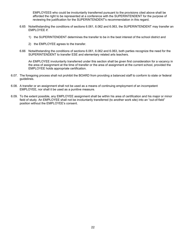EMPLOYEES who could be involuntarily transferred pursuant to the provisions cited above shall be afforded the right to be represented at a conference with the SUPERINTENDENT for the purpose of reviewing the justification for the SUPERINTENDENT's recommendation in this regard.

- 6.65 Notwithstanding the conditions of sections 6.061, 6.062 and 6.063, the SUPERINTENDENT may transfer an EMPLOYEE if:
	- 1) the SUPERINTENDENT determines the transfer to be in the best interest of the school district and
	- 2) the EMPLOYEE agrees to the transfer.
- 6.66 Notwithstanding the conditions of sections 6.061, 6.062 and 6.063, both parties recognize the need for the SUPERINTENDENT to transfer ESE and elementary related arts teachers.

An EMPLOYEE involuntarily transferred under this section shall be given first consideration for a vacancy in the area of assignment at the time of transfer or the area of assignment at the current school, provided the EMPLOYEE holds appropriate certification.

- 6.07. The foregoing process shall not prohibit the BOARD from providing a balanced staff to conform to state or federal guidelines.
- 6.08. A transfer or an assignment shall not be used as a means of continuing employment of an incompetent EMPLOYEE, nor shall it be used as a punitive measure.
- 6.09. To the extent possible, any EMPLOYEE assignment shall be within his area of certification and his major or minor field of study. An EMPLOYEE shall not be involuntarily transferred (to another work site) into an "out-of-field" position without the EMPLOYEE's consent.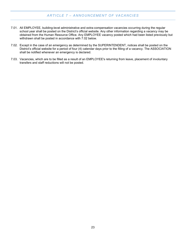## *ARTICLE 7 – ANNOUNCEMENT OF VACANCIES*

- <span id="page-26-0"></span>7.01. All EMPLOYEE, building-level administrative and extra-compensation vacancies occurring during the regular school year shall be posted on the District's official website. Any other information regarding a vacancy may be obtained from the Human Resource Office. Any EMPLOYEE vacancy posted which had been listed previously but withdrawn shall be posted in accordance with 7.02 below.
- 7.02. Except in the case of an emergency as determined by the SUPERINTENDENT, notices shall be posted on the District's official website for a period of four (4) calendar days prior to the filling of a vacancy. The ASSOCIATION shall be notified whenever an emergency is declared.
- 7.03. Vacancies, which are to be filled as a result of an EMPLOYEE's returning from leave, placement of involuntary transfers and staff reductions will not be posted.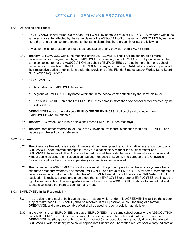### <span id="page-27-0"></span>8.01. Definitions and Terms:

8.11 A GRIEVANCE is any formal claim of an EMPLOYEE by name, a group of EMPLOYEES by name within the same school center affected by the same claim or the ASSOCIATION on behalf of EMPLOYEES by name in more than one school center affected by the same claim, that there presently exists the following:

A violation, misinterpretation or inequitable application of any provision of this AGREEMENT

- 8.12 The term GRIEVANCE, within the meaning of this AGREEMENT, shall NOT be construed as mere dissatisfaction or disagreement by an EMPLOYEE by name, a group of EMPLOYEES by name within the same school center, or the ASSOCIATION on behalf of EMPLOYEES by name in more than one school center with any directive of the SUPERINTENDENT or any action of the BOARD which relates or pertains to their respective duties or obligations under the provisions of the Florida Statutes and/or Florida State Board of Education Regulations.
- 8.13 A GRIEVANT is:
	- a. Any individual EMPLOYEE by name,
	- b. A group of EMPLOYEES by name within the same school center affected by the same claim, or
	- c. The ASSOCIATION on behalf of EMPLOYEES by name in more than one school center affected by the same claim.

GRIEVANCES other than individual EMPLOYEE GRIEVANCES shall be signed by two or more EMPLOYEES who are affected.

- 8.14 The term DAY when used in this article shall mean EMPLOYEE contract days.
- 8.15 The form hereinafter referred to for use in the Grievance Procedure is attached to this AGREEMENT and made a part thereof by this reference.

#### 8.02. Purpose:

- 8.21 The Grievance Procedure is created to secure at the lowest possible administrative level a solution to any GRIEVANCE, after informal attempts to resolve in a satisfactory manner the subject matter of a GRIEVANCE have failed. The Grievance Procedure shall be conducted as confidentially as possible and without public disclosure until disposition has been reached at Level II. The purpose of the Grievance Procedure shall not be to harass supervisory or administrative personnel.
- 8.22 The parties to the AGREEMENT accept as essential to the proper operation of the school system a fair and adequate procedure whereby any named EMPLOYEE, or a group of EMPLOYEES by name, may attempt to have resolved any matter, which under this AGREEMENT would or could become a GRIEVANCE if not resolved. It is recited, agreed and understood that any EMPLOYEE or group of EMPLOYEES shall have the right to discuss with and receive guidance and advice from the ASSOCIATION relative to procedural and substantive issues pertinent to such pending matter.
- 8.03. EMPLOYEE's Initial Responsibility
	- 8.31 It is the desire and goal of both parties that all matters, which under this AGREEMENT would be the proper subject matter for a GRIEVANCE, shall be resolved, if at all possible, without the filing of a formal GRIEVANCE, and every reasonable effort shall be used to reach a solution at this level.
	- 8.32 In the event that an EMPLOYEE, a group of EMPLOYEES in the same school center or the ASSOCIATION on behalf of EMPLOYEES by name in more than one school center believe(s) that there is basis for a GRIEVANCE, he (they) shall submit a written request (email acceptable) to privately discuss the alleged GRIEVANCE with his (their) Principal or appropriate Supervisor. The written request shall clearly indicate an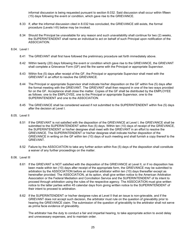informal discussion is being requested pursuant to section 8.032. Said discussion shall occur within fifteen (15) days following the event or condition, which gave rise to the GRIEVANCE.

- 8.33 If, after the informal discussion cited in 8.032 has concluded, the GRIEVANCE still exists, the formal procedure (Levels I-III) below may be invoked.
- 8.34 Should the Principal be unavailable for any reason and such unavailability shall continue for two (2) weeks, the SUPERINTENDENT shall name an individual to act on behalf of such Principal upon notification of the ASSOCIATION.

#### 8.04. Level I

- 8.41 The GRIEVANT shall first have followed the preliminary procedure set forth immediately above.
- 8.42 Within twenty (20) days following the event or condition which gave rise to the GRIEVANCE, the GRIEVANT shall complete a Grievance Form (GF) and file the same with the Principal or appropriate Supervisor.
- 8.43 Within five (5) days after receipt of the GF, the Principal or appropriate Supervisor shall meet with the GRIEVANT in an effort to resolve the GRIEVANCE.
- 8.44 The Principal or appropriate Supervisor shall indicate his/her disposition on the GF within five (5) days after the formal meeting with the GRIEVANT. The GRIEVANT shall then respond in one of the two ways provided for on the GF. Acceptance shall close the matter. Copies of the GF shall be distributed by the EMPLOYEE as follows: one to the EMPLOYEE, one to the Principal or appropriate Supervisor, one to the SUPERINTENDENT and one to the ASSOCIATION.
- 8.45 The GRIEVANCE shall be considered waived if not submitted to the SUPERINTENDENT within five (5) days after the decision at Level I.

#### 8.05. Level II

- 8.51 If the GRIEVANT is not satisfied with the disposition of the GRIEVANCE at Level I, the GRIEVANCE shall be submitted to the SUPERINTENDENT within five (5) days. Within ten (10) days of receipt of the GRIEVANCE, the SUPERINTENDENT or his/her designee shall meet with the GRIEVANT in an effort to resolve the GRIEVANCE. The SUPERINTENDENT or his/her designee shall indicate his/her disposition of the GRIEVANCE in writing on the GF within ten (10) days of such meeting and shall furnish a copy thereof to the GRIEVANT.
- 8.52 Failure by the ASSOCIATION to take any further action within five (5) days of the disposition shall constitute a waiver of any further proceedings on the matter.

## 8.06. Level III

- 8.61 If the GRIEVANT is NOT satisfied with the disposition of the GRIEVANCE at Level II, or if no disposition has been made within ten (10) days after receipt of the appropriate form, the GRIEVANCE may be submitted to arbitration by the ASSOCIATION before an impartial arbitrator within ten (10) days thereafter except as hereinafter provided. The ASSOCIATION, at its option, shall give written notice to the American Arbitration Association or the Federal Mediation and Conciliation Service and the SUPERINTENDENT of its intent to proceed through arbitration using the rules of the respective agency. The ASSOCIATION must give written notice to the latter parties within 45 calendar days from giving written notice to the SUPERINTENDENT of their intent to proceed to arbitration.
- 8.62 If the SUPERINTENDENT or his/her designee rules at Level II that an issue is non-grievable, and if the GRIEVANT does not accept such decision, the arbitrator must rule on the question of grievability prior to hearing the GRIEVANCE claim. The submission of the question of grievability to the arbitrator shall not serve as prima facie evidence of grievability.

The arbitrator has the duty to conduct a fair and impartial hearing, to take appropriate action to avoid delay and unnecessary expenses, and to maintain order.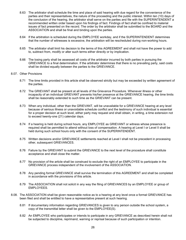- 8.63 The arbitrator shall schedule the time and place of said hearing with due regard for the convenience of the parties and their representatives, the nature of the proceeding and the public interest. Within ten (10) days of the conclusion of the hearing, the arbitrator shall serve on the parties and file with the SUPERINTENDENT a recommended written order based upon his findings of fact. Findings of fact shall be confined to material issues of fact presented on the record. The order by the arbitrator shall be submitted to the BOARD and the ASSOCIATION and shall be final and binding upon the parties.
- 8.64 If the arbitration is scheduled during the EMPLOYEE workday, and if the SUPERINTENDENT determines that the number of witnesses is excessive, the arbitration will be rescheduled during non-working hours.
- 8.65 The arbitrator shall limit his decision to the terms of this AGREEMENT and shall not have the power to add to, subtract from, modify or alter such terms either directly or by implication.
- 8.66 The losing party shall be assessed all costs of the arbitrator incurred by both parties in pursuing the GRIEVANCE to a final determination. If the arbitrator determines that there is no prevailing party, said costs shall be divided equally between the parties to the GRIEVANCE.
- 8.07. Other Provisions
	- 8.71 The time limits provided in this article shall be observed strictly but may be exceeded by written agreement of the parties.
	- 8.72 The GRIEVANT shall be present at all levels of the Grievance Procedure. Whenever illness or other incapacity of an individual GRIEVANT prevents his/her presence at the GRIEVANCE hearing, the time limits shall be reasonably extended to such time as the GRIEVANT can be present.
	- 8.73 When any individual, other than the GRIEVANT, will be unavailable for a GRIEVANCE hearing at any level because of serious illness or unavoidable schedule conflict and the testimony of such individual is essential for a proper decision at such level, either party may request and shall obtain, in writing, a time extension not to exceed twenty-one (21) calendar days.
	- 8.74 If a hearing is held during school hours, any EMPLOYEE as GRIEVANT or witness whose presence is required shall be permitted to attend without loss of compensation. A hearing at Level I or Level II shall be held during such school hours only with the consent of the SUPERINTENDENT.
	- 8.75 Written decisions and/or GRIEVANCE settlements reached at Level I shall not be precedent in processing other, subsequent GRIEVANCES.
	- 8.76 Failure by the GRIEVANT to submit the GRIEVANCE to the next level of the procedure shall constitute acceptance and shall close the matter.
	- 8.77 No provision of the article shall be construed to exclude the right of an EMPLOYEE to participate in the GRIEVANCE process independent of the involvement of the ASSOCIATION.
	- 8.78 Any pending formal GRIEVANCE shall survive the termination of this AGREEMENT and shall be completed in accordance with the provisions of this article.
	- 8.79 The ASSOCIATION shall not solicit in any way the filing of GRIEVANCES by an EMPLOYEE or group of EMPLOYEES.
- 8.08. The ASSOCIATION shall be given reasonable notice as to a hearing at any level once a formal GRIEVANCE has been filed and shall be entitled to have a representative present at such hearing.
	- 8.81 If documentary information regarding GRIEVANCES is given to any person outside the school system, a copy of the transmittal letter shall be given to the EMPLOYEE(S).
	- 8.82 An EMPLOYEE who participates or intends to participate in any GRIEVANCE as described herein shall not be subjected to discipline, reprimand, warning or reprisal because of such participation or intention.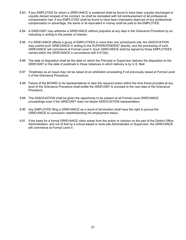- 8.83 If any EMPLOYEE for whom a GRIEVANCE is sustained shall be found to have been unjustly discharged or unjustly denied renewal of his contract, he shall be reinstated with full reimbursement of all professional compensation lost. If any EMPLOYEE shall be found to have been improperly deprived of any professional compensation or advantage, the same or its equivalent in money shall be paid to the EMPLOYEE.
- 8.84 A GRIEVANT may withdraw a GRIEVANCE without prejudice at any step in the Grievance Procedure by so indicating in writing to the parties of interest.
- 8.85 If a GRIEVANCE affects a group of EMPLOYEES in more than one school/work site, the ASSOCIATION may submit such GRIEVANCE in writing to the SUPERINTENDENT directly, and the processing of such GRIEVANCE will commence at Formal Level II. Such GRIEVANCE shall be signed by those EMPLOYEES named within the GRIEVANCE in accordance with 8.013(b).
- 8.86 The date of disposition shall be the date on which the Principal or Supervisor delivers the disposition to the GRIEVANT or the date of postmark in those instances in which delivery is by U.S. Mail.
- 8.87 Timeliness as an issue may not be raised at an arbitration proceeding if not previously raised at Formal Level II of the Grievance Procedure.
- 8.88 Failure of the BOARD or its representatives to take the required action within the time frame provided at any level of the Grievance Procedure shall entitle the GRIEVANT to proceed to the next step of the Grievance Procedure.
- 8.89 The ASSOCIATION shall be given the opportunity to be present at all Formal Level GRIEVANCE proceedings even if the GRIEVANT does not desire ASSOCIATION representation.
- 8.90 Any EMPLOYEE filing a GRIEVANCE as a result of termination shall have the right to pursue the GRIEVANCE to conclusion notwithstanding his employment status.
- 8.91 If the basis for a formal GRIEVANCE claim arises from the action or inaction on the part of the District Office Administration, and not of that by a school-based or work-site Administrator or Supervisor, the GRIEVANCE will commence at Formal Level II.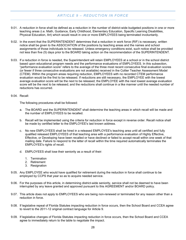## *ARTICLE 9 – REDUCTION IN FORCE*

- <span id="page-31-0"></span>9.01. A reduction in force shall be defined as a reduction in the number of district-wide budgeted positions in one or more teaching areas (i.e. Math, Guidance, Early Childhood, Elementary Education, Specific Learning Disabilities, Physical Education, Art) which would result in one or more EMPLOYEES being terminated involuntarily.
- 9.02. In the event that the SUPERINTENDENT determines that a reduction in work force (RIF) is necessary, written notice shall be given to the ASSOCIATION of the positions by teaching areas and the names and school assignments of those individuals to be released. Unless emergency conditions exist, such notice shall be provided not less than five (5) days prior to the BOARD taking action on the recommendation of the SUPERINTENDENT.
- 9.03. If a reduction in force is needed, the Superintendent will retain EMPLOYEES at a school or in the school district based upon educational program needs and the performance evaluations of EMPLOYEES. In this subsection, "performance evaluation score" refers to the average of the three most recent consecutive final evaluation scores (or fewer if three consecutive evaluations are not available) received in the Collier Teacher Assessment Model (CTEM). Within the program areas requiring reduction, EMPLOYEES with no recorded CTEM performance evaluation would be the first to be released. If reductions are still necessary, the EMPLOYEE with the lowest average evaluation score will be the next to be released; the EMPLOYEE with the next lowest average evaluation score will be the next to be released; and the reductions shall continue in a like manner until the needed number of reductions has occurred.

#### 9.04. Recall:

The following procedures shall be followed:

- a. The BOARD and the SUPERINTENDENT shall determine the teaching areas in which recall will be made and the number of EMPLOYEES to be recalled.
- b. Recall will be implemented using the criteria for reduction in force except in reverse order. Recall notice shall be made by certified letter to the EMPLOYEE's last known address.
- c. No new EMPLOYEES shall be hired in a released EMPLOYEE's teaching area until all certified and fully qualified released EMPLOYEES of that teaching area with a performance evaluation of Highly Effective, Effective, or Developing have been recalled or have declined or failed to accept recall within one week of that mailing date. Failure to respond to the letter of recall within the time required automatically terminates the EMPLOYEE's rights of recall.
- d. EMPLOYEES shall lose their seniority as a result of their:
	- 1. Termination
	- 2. Retirement
	- 3. Resignation
- 9.05. Any EMPLOYEE who would have qualified for retirement during the reduction in force shall continue to be employed by CCPS that year so as to acquire needed service.
- 9.06. For the purposes of this article, in determining district-wide seniority, service shall not be deemed to have been interrupted by any leave granted and approved pursuant to this AGREEMENT and/or BOARD policy.
- 9.07. This article does not apply to EMPLOYEES who are being non-renewed or terminated for any reason other than a reduction in force.
- 9.08. If legislative repeal of Florida Statutes impacting reduction in force occurs, then the School Board and CCEA agree to revert to the 2011-12 original contract language for Article 9.
- 9.09. If legislative changes of Florida Statutes impacting reduction in force occurs, then the School Board and CCEA agree to immediately return to the table to negotiate the impact.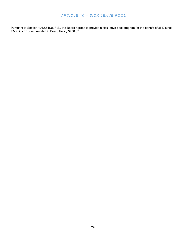## <span id="page-32-0"></span>*ARTICLE 10 – SICK LEAVE POOL*

Pursuant to Section 1012.61(3), F.S., the Board agrees to provide a sick leave pool program for the benefit of all District EMPLOYEES as provided in Board Policy 3430.07.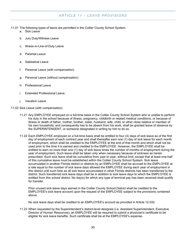## *ARTICLE 11 – LEAVE PROVISIONS*

- <span id="page-33-0"></span>11.01 The following types of leave are permitted in the Collier County School System:
	- a. Sick Leave
	- b. Jury Duty/Witness Leave
	- c. Illness-in-Line-of-Duty Leave
	- d Parental Leave
	- e. Sabbatical Leave
	- f. Personal Leave (with compensation)
	- g. Personal Leave (without compensation)
	- h. Professional Leave
	- i. Extended Professional Leave
	- j. Vacation Leave

11.02 Sick Leave (with compensation)

- 11.21 Any EMPLOYEE employed on a full-time basis in the Collier County School System who is unable to perform his duty in the school because of illness, pregnancy, childbirth or related medical conditions, or because of illness or death of father, mother, brother, sister, husband, wife, child, or other close relative or member of his own household, and consequently has to be absent from his work, shall be granted leave of absence by the SUPERINTENDENT, or someone designated in writing by him to do so.
- 11.22 Each EMPLOYEE employed on a full-time basis shall be entitled to four (4) days of sick leave as of the first day of employment of each contract year and shall thereafter earn one (1) day of sick leave for each month of employment, which shall be credited to the EMPLOYEE at the end of that month and which shall not be used prior to the time it is earned and credited to the EMPLOYEE. However, the EMPLOYEE shall be entitled to earn no more than one (1) day of sick leave times the number of months of employment during the year of employment. Such leave shall be taken only when necessary because of sickness as herein prescribed. Such sick leave shall be cumulative from year to year, without limit, except that at least one-half of this cumulative leave must be established within the Collier County School System. Sick leave accumulated in another Florida district or districts by an EMPLOYEE shall be accrued to the EMPLOYEE at a rate equal to the number of sick leave days allowed the EMPLOYEE during each year of employment in this district until such time as all sick leave accumulated in other Florida districts has been transferred to the district. Such transferred sick leave days shall be in addition to sick leave days to which the EMPLOYEE is entitled from this school district. No day(s) for which any type of terminal pay has been received shall qualify for transfer.

Prior unused sick leave days earned in the Collier County School District shall be credited to the EMPLOYEE's sick leave account upon the request of the EMPLOYEE subject to the provisions contained above.

No sick leave days shall be credited to an EMPLOYEE's account as provided in Article 12.033.

11.23 When requested by the Superintendent's district-level designee (i.e. Assistant Superintendent, Executive Director of Human Resources), an EMPLOYEE will be required to submit a physician's certificate to be eligible for sick leave benefits. Such certificate shall be at the EMPLOYEE's expense.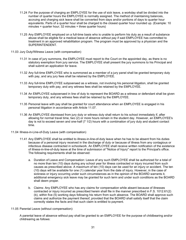- 11.24 For the purpose of charging an EMPLOYEE for the use of sick leave, a workday shall be divided into the number of quarter hours the EMPLOYEE is normally assigned. The method of maintaining balances, accruing and charging sick leave shall be converted from days and/or portions of days to quarter hour equivalents. Parts of a quarter hour shall be charged to the closest quarter hour rounded up. (Example: 10 minutes = quarter hour; 32 minutes = three quarter hours)
- 11.25 Any EMPLOYEE employed on a full-time basis who is unable to perform his duty as a result of substance abuse shall be eligible for a medical leave of absence without pay if said EMPLOYEE has committed to treatment in an approved rehabilitation program. The program must be approved by a physician and the SUPERINTENDENT.
- 11.03 Jury Duty/Witness Leave (with compensation)
	- 11.31 In case of jury summons, the EMPLOYEE must report to the Court on the appointed day, as there is no statutory exemption from jury service. The EMPLOYEE shall present the jury summons to his Principal and shall submit an application for leave.
	- 11.32 Any full-time EMPLOYEE who is summoned as a member of a jury panel shall be granted temporary duty with pay, and any jury fees shall be retained by the EMPLOYEE.
	- 11.33 Any full-time EMPLOYEE subpoenaed as a witness, not involving his personal litigation, shall be granted temporary duty with pay, and any witness fees shall be retained by the EMPLOYEE.
	- 11.34 An EMPLOYEE subpoenaed in line of duty to represent the BOARD as a witness or defendant shall be given temporary duty, and any witness fees shall be retained by the EMPLOYEE.
	- 11.35 Personal leave with pay shall be granted for court attendance when an EMPLOYEE is engaged in his personal litigation in accordance with Article 11.07.
	- 11.36 An EMPLOYEE dismissed from jury duty or witness duty shall return to his school immediately if, after allowing for normal travel time, two (2) or more hours remain in the student day. However, an EMPLOYEE's day is not to exceed seven and one-half (7 1/2) hours with a combination of jury duty and student contact time.
- 11.04 Illness-in-Line-of-Duty Leave (with compensation)
	- 11.41 Any EMPLOYEE shall be entitled to illness-in-line-of-duty leave when he has to be absent from his duties because of a personal injury received in the discharge of duty or because of illness from any contagious or infectious disease contracted in schoolwork. An EMPLOYEE shall receive written notification of the existence of illness-in-line-of-duty leave at the time of submission of "Notice of Injury" report to the Principal's office. The following requirements shall be observed:
		- a. Duration of Leave and Compensation: Leave of any such EMPLOYEE shall be authorized for a total of no more than ten (10) days during any school year for illness contracted or injury incurred from such causes as prescribed above. A maximum of ten (10) days can be used for an injury or accident. The ten (10) days will be available for one (1) calendar year from the date of injury. However, in the case of sickness or injury occurring under such circumstances as in the opinion of the BOARD warrants it, additional emergency sick leave may be granted for such term and under such conditions as the BOARD shall deem proper.
		- b. Claims: Any EMPLOYEE who has any claims for compensation while absent because of illnesses contracted or injury incurred as prescribed herein shall file in the manner prescribed in F.S. 1012.61(2) (b), within five (5) working days following his return from such absence. The BOARD shall approve such claims and authorize the payment thereof, provided that the BOARD shall satisfy itself that the claim correctly states the facts and that such claim is entitled to payment.
- 11.05 Parental Leave (without compensation):

A parental leave of absence without pay shall be granted to an EMPLOYEE for the purpose of childbearing and/or childrearing as follows: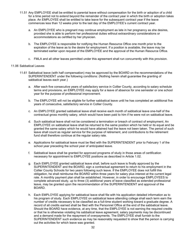- 11.51 Any EMPLOYEE shall be entitled to parental leave without compensation for the birth or adoption of a child for a time period not to extend beyond the remainder of the contract year in which the birth or adoption takes place. An EMPLOYEE shall be entitled to take leave for the subsequent contract year if the leave commences less than 12 weeks prior to the last day of the EMPLOYEE's current contract year.
	- a. An EMPLOYEE who is pregnant may continue employment as late in her pregnancy as she desires, provided she is able to perform her professional duties without extraordinary considerations or accommodations as certified by her physician.
	- b. The EMPLOYEE is responsible for notifying the Human Resource Office one month prior to the expiration of the leave as to the desire for employment. If a position is available, the leave may be terminated earlier upon request of the EMPLOYEE and the approval of the Human Resource Office.
	- c. FMLA and all other leaves permitted under this agreement shall run concurrently with this provision.

#### 11.06 Sabbatical Leaves

- 11.61 Sabbatical leave (with half compensation) may be approved by the BOARD on the recommendations of the SUPERINTENDENT under the following conditions: (Nothing herein shall guarantee the granting of sabbatical leaves each year.)
	- a. After each five consecutive years of satisfactory service in Collier County, according to salary schedule terms and provisions, an EMPLOYEE may apply for a leave of absence for one semester or one school year for the purpose of professional improvement.
	- b. The EMPLOYEE will not be eligible for further sabbatical leave until he has completed an additional five years of consecutive, satisfactory service in Collier County.
	- c. An EMPLOYEE granted sabbatical leave shall receive each month of sabbatical leave one-half of the contractual gross monthly salary, which would have been paid to him if he were not on sabbatical leave.
	- d. Such sabbatical leave shall not be considered a termination or breach of contract of employment. An EMPLOYEE on sabbatical leave shall be returned to the same position which he held or its equal and be granted the same salary which he would have attained had the leave not been taken. The period of such leave shall count as regular service for the purpose of retirement, and contributions to the retirement fund shall therefore continue at the regular salary rate.
	- e. Applications for sabbatical leave must be filed with the SUPERINTENDENT prior to February 1 of the school year preceding the school year of anticipated leave.
	- f. Sabbatical leave shall be granted for approved programs of study in those areas of certification necessary for appointment to EMPLOYEE positions as described in Article 1.02.
	- g. Each EMPLOYEE granted sabbatical leave shall, before such leave is finally approved by the SUPERINTENDENT and the BOARD, sign a contractual agreement to return to his employment in the Collier County Schools for two years following such leave. If the EMPLOYEE does not fulfill this obligation, he shall reimburse the BOARD within three years for salary plus interest at the current legal rate. A monthly payment plan shall be established. However, in order to encourage EMPLOYEES to complete advanced study, up to three (3) additional years of leave classified as extended professional leave, may be granted upon the recommendation of the SUPERINTENDENT and approval of the BOARD.
	- h. Each EMPLOYEE applying for sabbatical leave shall file with his application detailed information as to his program of study. Each EMPLOYEE on sabbatical leave attending college shall each term earn the number of credits necessary to be classified as a full-time student working toward a graduate degree. A record of all credits earned shall be filed with the Personnel Office at the end of the sabbatical leave. Should the BOARD have evidence, at any time, that the EMPLOYEE is not earning the required credits or that he is otherwise violating his sabbatical leave agreement, salary payments may be discontinued and a demand made for the repayment of overpayments. The EMPLOYEE shall furnish to the SUPERINTENDENT such evidence as may be reasonably requested to show that the person is carrying out the activities for which leave was granted.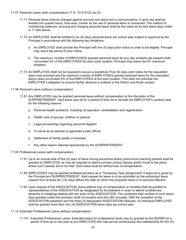#### 11.07 Personal Leave (with compensation): F.S. 1012.61(2) (a) (2)

- 11.71 Personal leave shall be charged against accrued sick leave and is noncumulative. A work day shall be divided into quarter hours, time-wise, insofar as the use of personal leave is concerned. The method of maintaining balances, accruing and charging personal leave shall be the same as for sick leave days noted in 11.024 above.
- 11.72 An EMPLOYEE shall be entitled to six (6) days personal leave per school year subject to approval by the Principal in accordance with the following two limitations:
	- a. An EMPLOYEE shall provide the Principal with five (5) days prior notice in order to be eligible. Principal may waive the period of prior notice.
	- b. The maximum number of EMPLOYEES granted personal leave for any day students are present shall not exceed 5% of the EMPLOYEES for each work location. Principal may waive the 5% maximum limitation.
- 11.73 An EMPLOYEE shall not be required to secure a substitute if five (5) days prior notice for the requested leave was provided and the maximum number of EMPLOYEES granted personal leave for the requested day(s) does not exceed 5% of the EMPLOYEES at the work location. This does not preclude the EMPLOYEE's obligation to ensure his/her absence is entered in the District sub-finder system.
- 11.08 Personal Leave (without compensation)
	- 11.81 Any EMPLOYEE may be granted personal leave without compensation at the discretion of the SUPERINTENDENT. Said leave may be for a period of time not to exceed the EMPLOYEE's contract year for the following reasons:
		- a. Personal health problems, including recuperation, rehabilitation and regeneration
		- b. Health care of spouse, children or parents
		- c. Legal proceedings regarding personal litigation
		- d. To serve as an elected or appointed public official
		- e. Settlement of family estate or business
		- f. Any other reason deemed appropriate by the SUPERINTENDENT
- 11.09 Professional Leave (with compensation)
	- 11.91 Up to an annual total of five (5) days of leave during pre-school and/or post-school planning periods shall be granted an EMPLOYEE as may be required to attend summer school classes and/or travel to the place where such classes are to be held. Such leave shall be without loss of compensation.
	- 11.92 EMPLOYEES may be granted professional leave as a "Temporary Duty Assignment" if approval is given by the Principal and SUPERINTENDENT. Said request for leave is to be submitted on the authorized leave request form at least ten (10) days before the date on which the proposed leave is to become effective.
	- 11.93 Upon request of the ASSOCIATION, leave without loss of compensation or benefits shall be granted to representatives of the ASSOCIATION as designated by its president in order to attend conferences, sessions or meetings dealing with the work of the ASSOCIATION. The combined total number of such leave days granted under this provision shall not exceed sixty-five (65) annually. With the exception of the ASSOCIATION president and the three (3) designated ASSOCIATION lobbyists, no individual EMPLOYEE shall be granted more than four (4) ASSOCIATION leave days per school year.
- 11.10 Extended Professional Leave (without compensation)
	- 11.101 Extended Professional Leave: Extended leave for professional study may by granted by the BOARD for a period of time up to one year to any EMPLOYEE who has served continuously and satisfactorily for five (5)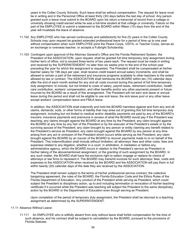years in the Collier County Schools. Such leave shall be without compensation. The request for leave must be in writing and in the Personnel Office at least thirty (30) days before the last day of school. Any person granted such a leave must submit to the BOARD upon his return a transcript of record from a college or university showing credit earned while he was a full-time student at that college or university. Failure on the part of the EMPLOYEE to submit a statement to the BOARD within fifteen (15) days from the end of the year will invalidate the leave of absence.

- 11.102 Any EMPLOYEE who has served continuously and satisfactorily for five (5) years in the Collier County Schools may upon request be granted extended professional leave for a period of time up to one year without compensation when such EMPLOYEE joins the Peace Corps, VISTA, or Teacher Corps, serves as an exchange or overseas teacher, or accepts a Fulbright Scholarship.
- 11.103 Contingent upon approval of the Attorney General's Office and the Florida Retirement System, the President of the ASSOCIATION, upon request, shall be granted full time temporary duty assignment during his/her term of office, not to exceed three terms of two years each. The request must be made in writing and received by the SUPERINTENDENT no later than six weeks prior to the end of the school year preceding the year for which the assignment is requested. The President shall be compensated at his/her teacher salary for 196 days per year, shall receive credit toward annual salary increments, and shall be allowed to remain a part of the retirement and insurance programs available to other teachers to the extent allowed by law or contract. The ASSOCIATION shall reimburse the BOARD within ten (10) calendar days after the end of each month worked for any and all costs incurred during this period of full time temporary duty assignment, to include, but not limited to costs of salary, payroll taxes, retirement contribution, health care contribution, workers' compensation, and other benefits and/or any other payments present or future incurred by the BOARD as a result of this arrangement. The President will not earn sick leave or annual leave during this period and shall not be eligible to use sick leave, the sick leave pool or any other leave except workers' compensation leave and FMLA leave.

In addition, the ASSOCIATION shall indemnify and hold the BOARD harmless against and from any and all claims, demands, suits, or other forms of liability that may arise out of granting this full time temporary duty assignment, including but not limited to medical and/or disability payments not paid by any of the BOARD's insurers; insurance payments and premiums in excess of what the BOARD would pay if the President was teaching; any claims brought against the BOARD at any time by the President; any claim brought against the BOARD at any time by any heir of the President or by the executor of the President's estate or by the surviving spouse of the President; any claim brought by any person or entity claiming any benefit related to the President's service as President; any claim brought against the BOARD by any person at any time arising from any act or omission of the President which occurs while serving as the President; any claim brought against the BOARD by an insurer of the BOARD to recover payments made to or on behalf of the President. This indemnification shall include without limitation, all attorneys' fees and other costs, fees and expenses related to any litigation, whether in a court, in arbitration, in mediation or before any administrative agency, which the BOARD incurs in relation to the President's service as President or his/her taking of the abovementioned assignment, or the granting of such assignment by the BOARD. In any such matter, the BOARD shall have the exclusive right to select, engage or replace its choice of attorneys or law firms to represent it. The BOARD may transmit invoices for such attorneys' fees, costs and expenses to the ASSOCIATION when received by the BOARD and the ASSOCIATION will pay them in full within twenty (20) calendar days of the date they are received by the ASSOCIATION.

The President shall remain subject to the terms of his/her professional service contract, the collective bargaining agreement, the rules of the BOARD, the Florida Education Code and the Ethics Rules of the Florida Department of Education. Any conduct of the President while serving as President, which could subject the President to disciplinary action, up to and including termination or revocation of his/her teaching certificate if it occurred while the President was teaching will subject the President to the same disciplinary action by the BOARD or the Department of Education even though serving as President.

Upon completion of the period of temporary duty assignment, the President shall be returned to a teaching assignment as determined by the SUPERINTENDENT.

#### 11.11 Absence Without Leave:

11.111 An EMPLOYEE who is willfully absent from duty without leave shall forfeit compensation for the time of such absence, and his contract shall be subject to cancellation by the BOARD, pursuant to the provisions of Florida Statutes.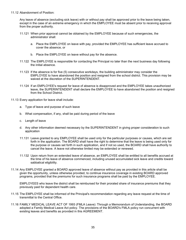11.12 Abandonment of Position:

Any leave of absence (excluding sick leave) with or without pay shall be approved prior to the leave being taken, except in the case of an extreme emergency in which the EMPLOYEE must be absent prior to receiving approval from the proper authority.

- 11.121 When prior approval cannot be obtained by the EMPLOYEE because of such emergencies, the administrator shall:
	- a. Place the EMPLOYEE on leave with pay, provided the EMPLOYEE has sufficient leave accrued to cover the absence, or
	- b. Place the EMPLOYEE on leave without pay for the absence.
- 11.122 The EMPLOYEE is responsible for contacting the Principal no later than the next business day following the initial absence.
- 11.123 If the absence is for five (5) consecutive workdays, the building administrator may consider the EMPLOYEE to have abandoned the position and resigned from the school district. This provision may be waived at the discretion of the SUPERINTENDENT.
- 11.124 If an EMPLOYEE's request for leave of absence is disapproved and the EMPLOYEE takes unauthorized leave, the SUPERINTENDENT shall declare the EMPLOYEE to have abandoned the position and resigned from the School District.
- 11.13 Every application for leave shall include:
	- a. Type of leave and purpose of such leave
	- b. What compensation, if any, shall be paid during period of the leave
	- c. Length of leave
	- d. Any other information deemed necessary by the SUPERINTENDENT in giving proper consideration to such application
	- 11.131 Leave granted to any EMPLOYEE shall be used only for the particular purposes or causes, which are set forth in the application. The BOARD shall have the right to determine that the leave is being used only for the purpose or causes set forth in such application, and if not so used, the BOARD shall have authority to cancel the leave. A leave not otherwise limited may be extended or renewed.
	- 11.132 Upon return from an extended leave of absence, an EMPLOYEE shall be entitled to all benefits accrued at the time of his leave of absence commenced, including unused accumulated sick leave and credits toward sabbatical eligibility.
- 11.14 Any EMPLOYEE granted a BOARD approved leave of absence without pay as provided in this article shall be given the opportunity, unless otherwise provided, to continue insurance coverage in existing BOARD approved programs, provided that the premiums for such insurance programs shall be paid by the EMPLOYEE.

EMPLOYEES who leave the district shall be reimbursed for their prorated share of insurance premiums that they previously paid for dependent health care.

- 11.15 The EMPLOYEE shall be informed of the Principal's recommendation regarding any leave request at the time of transmittal to the Central Office.
- 11.16 FAMILY MEDICAL LEAVE ACT OF 1993 (FMLA Leave): Through a Memorandum of Understanding, the BOARD adopted a Family Medical Leave Act policy. The provisions of the BOARD's FMLA policy run concurrent with existing leaves and benefits as provided in this AGREEMENT.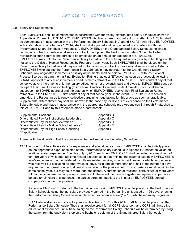## *ARTICLE 12 – COMPENSATION*

<span id="page-39-0"></span>12.01 Salary and Supplements:

Each EMPLOYEE shall be compensated in accordance with the yearly-differentiated salary schedules shown in Appendix A. Pursuant to F.S. 1012.22, EMPLOYEES who hold an Annual Contract on or after July 1, 2014, shall be compensated in accordance with the Performance Salary Schedule in Appendix A. All newly hired EMPLOYEES with a start date on or after July 1, 2014, shall be initially placed and compensated in accordance with the Performance Salary Schedule in Appendix A. EMPLOYEES on the Grandfathered Salary Schedule holding a continuing contract or professional service contract may opt into the Performance Salary Schedule if s/he relinquishes such contract and agrees to be employed on an annual contract under F.S. 1012.335. EMPLOYEES may opt into the Performance Salary Schedule in the subsequent school year by submitting a written notice to the Office of Human Resources by February 1 each year. Such EMPLOYEES shall be placed on the Performance Salary Schedule and may not return to continuing contract or professional service contract status. EMPLOYEES who opt into the Performance Salary Schedule may not return to the Grandfathered Salary Schedule. Any negotiated increments or salary adjustments shall be paid to EMPLOYEES with Instructional Practice Scores that earn them a Final Evaluation Rating of at least "Effective" as soon as practicable following BOARD approval of any such increments or adjustments retroactive to the EMPLOYEE'S first contract day of that school year. Any increments of further salary adjustments not previously paid and owed to EMPLOYEES based on receipt of their Final Evaluation Rating (Instructional Practice Score and Student Growth Score) shall be paid subsequent to BOARD approval and the date on which EMPLOYEES receive their Final Evaluation Rating retroactive to the EMPLOYEE'S first contract day of that school year. In the event F.S. 1012.22 is repealed or amended, the Parties agree to renew collective bargaining negotiations for this article as soon as practicable. Supplemental differentiated pay shall be indexed to the base pay for 0 years of experience on the Performance Salary Schedule and made in accordance with the appropriate schedule (see Appendices B through F) attached to this AGREEMENT and by this reference made a part thereof:

| <b>Supplemental Positions</b>                    | Appendix B |
|--------------------------------------------------|------------|
| Differentiated Pay for Instructional Leadership* | Appendix C |
| Differentiated Pay for School Activities *       | Appendix D |
| Differentiated Pay for Middle School Athletics * | Appendix E |
| Differentiated Pay for High School Coaching      | Appendix F |
| *If applicable                                   |            |

Agreed with the stipulation that the conversion chart will remain on the Salary Schedule.

12.11 In order to differentiate salary for experience and education, each new EMPLOYEE shall be initially placed on the appropriate experience step of the Performance Salary Schedule in Appendix A based on validated, full-time related experience. Effective July 1, 2014, each new EMPLOYEE shall be limited to a maximum of ten (10) years of validated, full-time related experience. In determining the salary of said new EMPLOYEE, a year's experience may be validated by full-time related service, including sick leave for which compensation was received but excluding all other types of leave, for a total of more than one- half of the number of days required for the normal contractual period of service for the position held. This experience must be within the same school year, but may be in more than one school. A summation of fractional parts of two or more years will not be considered in computing experience. In the event the Florida Legislature requires compensation be paid for all years of experience, the parties agree to negotiate the impact on EMPLOYEES denied compensation under this provision.

If a former EMPLOYEE returns to the bargaining unit, said EMPLOYEE shall be placed on the Performance Salary Schedule using the last salary previously earned in the bargaining unit, based on 196 days, or using the Performance Salary Schedule initial placement experience scale (1 – 10), whichever salary is greater.

CCPS administrators who accept a position classified in 1.02 of this AGREEMENT shall be placed on the Performance Salary Schedule. They shall receive credit for all CCPS classroom and CCPS administrative educational experience. Initial base salary on the Performance Salary Schedule will be determined by using the salary from the equivalent step on the Bachelor's column of the Grandfathered Salary Schedule.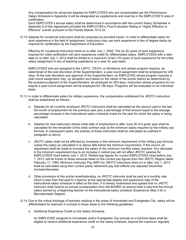Any compensation for advanced degrees for EMPLOYEES who are compensated per the Performance Salary Schedule in Appendix A will be designated as supplements and must be in the EMPLOYEE'S area of certification.

Each EMPLOYEE's annual salary shall be determined in accordance with the current Salary Schedules in Appendix A of this Agreement provided the EMPLOYEE's Final Evaluation Rating is "Highly Effective or Effective" overall, pursuant to the Florida Statute 1012.34.

12.12 Salaries for vocational instructors shall be computed as provided herein. In order to differentiate salary for work experience in the field of assignment, instructors may use work experience in lieu of degree status as required for certification by the Department of Education.

Effective for vocational instructors hired on or after July 1, 2002: The six (6) years of work experience required for initial certification will carry experience credit for differentiated salary. EMPLOYEES with a start date on or after July 1, 2014 shall be limited to a maximum of ten (10) years of work experience for the initial salary assignment in lieu of teaching experience on a year for year basis.

EMPLOYEES who are assigned to the LWITC, ITECH, or Workforce and whose program requires, as determined at the sole discretion of the Superintendent, a year-round assignment shall be employed for 236 days. At the sole discretion and approval of the Superintendent, an EMPLOYEE whose program requires a year-round assignment may, by exception and based on the needs of the school district as determined by the exclusive judgment of the Superintendent, be employed for 250 days. Instructors whose programs do not require a year-round assignment will be employed for 196 days. Programs will be evaluated on an individual basis.

- 12.13 In order to differentiate salary for military experience, the compensation entitlement for JROTC instructors shall be established as follows:
	- a. Salaries for all currently employed JROTC instructors shall be calculated as the amount paid in the last full month of employment for the previous year plus a percentage of that amount equal to the average percentage increase in the instructional salary schedule made for the year for which the salary is being calculated.
	- b. Salaries for new instructors whose initial date of employment is after June 30 of a given year shall be calculated for the remainder of the initial contract year at the minimum salary required by the military pay formula. In subsequent years, the salaries of these instructors shall be calculated as outlined in paragraph a) above.
	- c. JROTC salary shall not be affected by increases in the minimum requirement of the military pay formula unless the salary as calculated in a) above falls below the minimum requirement. If this occurs, an adjustment shall be made to increase the salary to the minimum monthly salary required. Any decrease in the minimum requirement due to an increase in retired pay will not affect JROTC salaries for EMPLOYEES hired before July 1, 2013. Retired pay figures for current EMPLOYEES hired before July 1, 2013, will be frozen to those amounts listed on the current pay figures from first JROTC Region dated February 17, 1984. Minimum Instructor Pay (MIP) for JROTC instructors hired on or after July 1, 2013 shall be calculated using their current yearly retirement pay that reflects any adjusted December increase/decrease.
	- d. Other provisions of this article notwithstanding, no JROTC instructor shall be paid at a monthly rate, which is less than that paid to a teacher at the appropriate degree and experience step of the instructional salary schedule in effect at the time. It is hereby understood and agreed that no JROTC instructor shall receive as annual compensation from the BOARD an amount that is less that the annual salary earned by a beginning teacher on the instructional salary schedule (Experience Step 0 for a Baccalaureate Degree).
- 12.14 Due to the critical shortage of teachers residing in the areas of Immokalee and Everglades City, salary will be differentiated for teachers in schools in those areas to the following guidelines:
	- a. Additional Experience Credit on the Salary Schedule

An EMPLOYEE assigned to Immokalee and/or Everglades City schools on a full-time basis shall be eligible to receive additional experience credit on the salary schedule, beyond the maximum regularly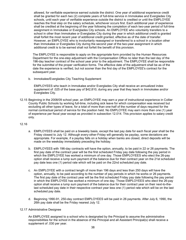allowed, for verifiable experience earned outside the district. One year of additional experience credit shall be granted for each two (2) complete years of full-time service in Immokalee and Everglades City schools, until each year of verifiable experience outside the district is credited or until the EMPLOYEE reaches the final step on the salary schedule, whichever occurs first. Each additional year of experience shall be credited at the beginning of the year following the completion of each two-year period of full-time assignment in Immokalee or Everglades City schools. An EMPLOYEE who voluntarily transfers to a school in other than Immokalee or Everglades City during the year in which additional credit is granted shall forfeit the most recent year of additional credit granted, effective as of the date of transfer. However, an EMPLOYEE who is involuntarily reassigned or transferred to a school in a location other than Immokalee or Everglades City during the second year of the two-year assignment in which additional credit is to be earned shall not forfeit the benefit of this provision.

The EMPLOYEE is responsible to apply on the appropriate form provided by the Human Resources Department for the one-step adjustment with the Compensation Office no later than the last day of the 196-day teacher contract of the school year prior to the adjustment. The EMPLOYEE shall be responsible for the submittal of the proper verification forms. The effective date of the adjustment shall be as of the date the experience is verified, but not sooner than the first day of the EMPLOYEE's contract for the subsequent year.

b. Immokalee/Everglades City Teaching Supplement

EMPLOYEES who teach in Immokalee and/or Everglades City shall receive an annualized index supplement of .025 of the base pay of \$42,810, during any year that they teach in Immokalee and/or Everglades City.

12.15 Beginning in the 2008/09 school year, an EMPLOYEE may earn a year of instructional experience in Collier County Public Schools by working full-time, including sick leave for which compensation was received but excluding all other types of leave, for a total of more than one-half of the number of days required for the normal contractual period of service for the position held. No EMPLOYEE may earn more than one (1) year of experience per fiscal year except as provided in subsection 12.014. This provision applies to salary credit only.

## 12.16

- a. EMPLOYEES shall be paid on a biweekly basis, except the last pay date for each fiscal year shall be the Friday closest to July 12. Although every-other-Friday will generally be payday, some deviations are appropriate. For example, if a payday falls on a holiday when banks are closed, direct deposits will be made on the weekday immediately preceding the holiday.
- b. EMPLOYEES with 196-day contracts will have the option, annually, to be paid in 22 or 26 payments. The first pay date of the contract year will be the first scheduled Friday pay date following the pay period in which the EMPLOYEE has worked a minimum of one day. Those EMPLOYEES who elect the 26-pay option shall receive a lump sum payment of the balance due for their contract year on the 21st scheduled pay date less one (1) period rate which will be paid on the 22nd scheduled pay date.
- c. An EMPLOYEE with a contract length of more than 196 days and less than 250 days will have the option, annually, to be paid according to the number of pay periods in which he works or 26 payments. The first pay date of the contract year will be the first scheduled Friday pay date following the pay period in which the EMPLOYEE has worked a minimum of one day. Those EMPLOYEES who elect the 26-pay option shall receive a lump sum payment of the balance due for their contract year on their next-to-thelast scheduled pay date in their respective contract year less one (1) period rate which will be on the last scheduled pay date.
- d. Beginning 1990-91, 250-day contract EMPLOYEES will be paid in 26 payments. After July 6, 1990, the 26th pay date shall be the Friday nearest July 12.

#### 12.17 Administrative Designee

An EMPLOYEE assigned to a school who is designated by the Principal to assume the administrative responsibilities for the school in the absence of the Principal and all Assistant Principal(s) shall receive a supplement of .030 per year.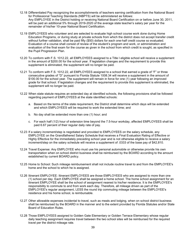- 12.18 Differentiated Pay recognizing the accomplishments of teachers earning certification from the National Board for Professional Teaching Standards (NBPTS) will be administered as follows: Any EMPLOYEE in the District holding or receiving National Board Certification on or before June 30, 2011, will be paid an additional 5% through 2019-2020 of the average state teacher's salary per year for the remainder of his/her 10-year National Board Certification.
- 12.19 EMPLOYEES who volunteer and are selected to evaluate high school course work done during Home Education Programs, or during study at private schools from which the district does not accept transfer credit without further validation, shall be paid fifty (\$50) dollars for each one-half credit course so evaluated. Evaluation of a course shall consist of review of the student's program and work, or administration and evaluation of the final exam for the course as given in the school from which credit is sought, as specified in the Pupil Progression Plan.
- 12.20 To conform with F.S. 1012.22, all EMPLOYEES assigned to a Title I eligible school will receive a supplement in the amount of \$200.00 for the school year. If legislation changes and the requirement to provide this supplement is eliminated, the supplement will no longer be paid.
- 12.21 To conform with F.S. 1012.22, all EMPLOYEES assigned to a school that earned a grade of "F" or three consecutive grades of "D" pursuant to Florida Statute 1008.34 will receive a supplement in the amount of \$100.00 for the school year. The supplement will remain in force for one (1) year following an improved grade for that school. If legislation changes and the requirement to provide this supplement is eliminated, the supplement will no longer be paid.
- 12.22 When state statute requires an extended day at identified schools, the following provisions shall be followed regarding payment of EMPLOYEES at the state identified schools:
	- a. Based on the terms of the state requirement, the District shall determine which days will be extended and which EMPLOYEES will be required to work the extended time; and
	- b. No day shall be extended more than one (1) hour; and
	- c. For each half (1/2) hour of extension time beyond the 7.5-hour workday, affected EMPLOYEES shall be paid 6.67 percent of their regular daily rate of pay.
- 12.23 If a salary increment/step is negotiated and provided to EMPLOYEES on the salary schedule, any EMPLOYEE on the Grandfathered Salary Schedule that receives a Final Evaluation Rating of Effective or Highly Effective for the immediately preceding school year and is not otherwise eligible to receive a salary increment/step on the salary schedule will receive a supplement of .0333 of the base pay of \$42,810.
- 12.24 Travel Expense: Any EMPLOYEE who must use his personal automobile or otherwise provide his own transportation when on school district business shall be reimbursed by the BOARD according to the amount established by current BOARD policy.
- 12.25 Home to School: Such mileage reimbursement shall not include routine travel to and from the EMPLOYEE's home and the school to which he is assigned.
- 12.26 Itinerant EMPLOYEE: Itinerant EMPLOYEES are those EMPLOYEES who are assigned to more than one (1) school per day. Each EMPLOYEE shall be assigned a home school. The home school assignment for an itinerant EMPLOYEE shall be the school of assignment nearest to his/her residence. It is the EMPLOYEE's responsibility to commute to and from work each day. Therefore, all mileage driven as part of the EMPLOYEE's regular assignment, LESS the round trip commuting mileage between the EMPLOYEE's residence and his home school, is reimbursable.
- 12.27 Other allowable expenses incidental to travel, such as meals and lodging, when on school district business shall be reimbursed by the BOARD in the manner and to the extent provided by Florida Statutes and/or State Board of Education Rules.
- 12.28 Those EMPLOYEES assigned to Golden Gate Elementary or Golden Terrace Elementary whose regular daily teaching assignment requires travel between the two school sites will be reimbursed for the required travel per the district mileage rate.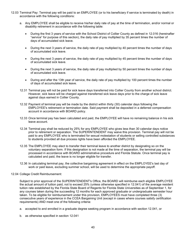- 12.03 Terminal Pay: Terminal pay will be paid to an EMPLOYEE (or to his beneficiary if service is terminated by death) in accordance with the following conditions:
	- a. Any EMPLOYEE shall be eligible to receive his/her daily rate of pay at the time of termination, and/or normal or disability retirement in accordance with the following table:
		- During the first 3 years of service with the School District of Collier County as defined in 12.016 (hereinafter "service" for purpose of this section), the daily rate of pay multiplied by 35 percent times the number of days of accumulated sick leave.
		- During the next 3 years of service, the daily rate of pay multiplied by 40 percent times the number of days of accumulated sick leave.
		- During the next 3 years of service, the daily rate of pay multiplied by 45 percent times the number of days of accumulated sick leave.
		- During the next 3 years of service, the daily rate of pay multiplied by 50 percent times the number of days of accumulated sick leave.
		- During and after the 13th year of service, the daily rate of pay multiplied by 100 percent times the number of days of accumulated sick leave.
	- 12.31 Terminal pay will not be paid for sick leave days transferred into Collier County from another school district. However, sick leave will be charged against transferred sick leave days prior to the charge of sick leave against days earned in Collier County.
	- 12.32 Payment of terminal pay will be made by the district within thirty (30) calendar days following the EMPLOYEE's retirement or termination date. Said payment shall be deposited in a deferred compensation account in accordance with BOARD policy.
	- 12.33 Once terminal pay has been calculated and paid, the EMPLOYEE will have no remaining balance in his sick leave account.
	- 12.34 Terminal pay shall be reduced by 25% for any EMPLOYEE who gives less than 30 calendar days notice prior to retirement or separation. The SUPERINTENDENT may waive this provision. Terminal pay will not be paid to any EMPLOYEE who is terminated for sexual molestation of students or selling controlled substances to students provided all due process rights have been afforded the EMPLOYEE.
	- 12.35 The EMPLOYEE may elect to transfer their terminal leave to another district by designating so on the voluntary separation form. If this designation is not made at the time of separation, the terminal pay will be processed in accordance with BOARD administrative procedure and Florida Statute. Once terminal pay is calculated and paid, the leave is no longer eligible for transfer.
	- 12.36 In calculating terminal pay, the collective bargaining agreement in effect on the EMPLOYEE's last day of work or paid leave, excluding summer school, will be used to determine the appropriate payoff.

#### 12.04 College Credit Reimbursement:

Subject to prior approval of the SUPERINTENDENT's Office, the BOARD will reimburse each eligible EMPLOYEE the actual amount of tuition paid, not to exceed 25% (unless otherwise specified in 12.041) of the average resident tuition rate established by the Florida State Board of Regents for Florida State Universities as of September 1, for any courses taken during the succeeding 12 months for each approved graduate or undergraduate semester hour taken. To be eligible for reimbursement under this provision, EMPLOYEES must have completed three (3) consecutive years of experience in the CCEA Bargaining Unit (except in cases where courses satisfy certification requirements) AND meet one of the following criteria:

- a. accepted to and enrolled in a graduate degree seeking program in accordance with section 12.041, or
- b. as otherwise specified in section 12.041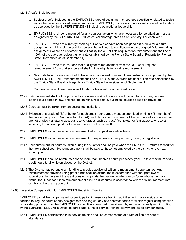- a. Subject area(s) included in the EMPLOYEE's area of assignment or courses specifically related to topics within the district-approved curriculum for said EMPLOYEE, or courses in additional areas of certification as approved by the SUPERINTENDENT including educational leadership.
- b. EMPLOYEES shall be reimbursed for any courses taken which are necessary for certification in areas designated by the SUPERINTENDENT as critical shortage areas as of February 1 of each year.
- c. EMPLOYEES who are currently teaching out-of-field or have been assigned out-of-field for a future assignment shall be reimbursed for courses that will lead to certification in the assigned field, excluding assignments where an endorsement will satisfy the out-of-field requirement (reimbursement shall be at 100% of the average resident tuition rate established by the Florida State Board of Regents for Florida State Universities as of September 1).
- d. EMPLOYEES who take courses that qualify for reimbursement from the DOE shall request reimbursement from that source and shall not be eligible for local reimbursement.
- e. Graduate level courses required to become an approved dual-enrollment instructor as approved by the SUPERINTENDENT (reimbursement shall be at 100% of the average resident tuition rate established by the Florida State Board of Regents for Florida State Universities as of September 1).
- f. Courses required to earn an initial Florida Professional Teaching Certificate.
- 12.42 Reimbursement shall not be provided for courses outside the area of education; for example, courses leading to a degree in law, engineering, nursing, real estate, business, courses based on travel, etc.
- 12.43 Courses must be taken from an accredited institution.
- 12.44 Evidence of a grade of "B" or better for each credit hour earned must be submitted within six (6) months of the date of completion. No more than four (4) credit hours per fiscal year will be reimbursed for courses that are not graded via letter grade, but receive grades such as "pass" "complete" or "satisfactory. A receipt indicating the amount paid for the course also must be submitted.
- 12.45 EMPLOYEES will not receive reimbursement when on paid sabbatical leave.
- 12.46 EMPLOYEES will not receive reimbursement for expenses such as per diem, travel, or registration.
- 12.47 Reimbursement for courses taken during the summer shall be paid when the EMPLOYEE returns to work for the next school year. No reimbursement shall be paid to those not employed by the district for the next school year.
- 12.48 EMPLOYEES shall be reimbursed for no more than 12 credit hours per school year, up to a maximum of 36 credit hours total while employed by the District.
- 12.49 The District may pursue grant funding to provide additional tuition reimbursement opportunities. Any reimbursement provided using grant funds shall be distributed in accordance with the grant award stipulations. In the event the grant does not stipulate the manner in which funds for reimbursement are distributed, funds for tuition reimbursement shall be distributed in accordance with the reimbursement rate established in this agreement.
- 12.05 In-service Compensation for EMPLOYEES Receiving Training:

EMPLOYEES shall be compensated for participation in in-service training activities which are outside of, or in addition to, regular hours of duty assignments or a regular day of a contract period for which regular compensation is provided, provided that the EMPLOYEE is specifically selected or assigned, by name individually and in writing by the SUPERINTENDENT's Office, to participate in the in-service-training activity and be so compensated.

12.51 EMPLOYEES participating in in-service training shall be compensated at a rate of \$30 per hour of attendance.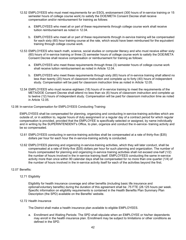- 12.52 EMPLOYEES who must meet requirements for an ESOL endorsement (300 hours of in-service training or 15 semester hours of college course work) to satisfy the DOE/META Consent Decree shall receive compensation and/or reimbursement for training as follows:
	- a. EMPLOYEES who meet all or part of these requirements through college course work shall receive tuition reimbursement as noted in 12.04.
	- b. EMPLOYEES who meet all or part of these requirements through in-service training will be compensated for each sixty (60) hour training course at the rate, which would have been reimbursed for the equivalent training through college course work.
- 12.53 EMPLOYEES who teach math, science, social studies or computer literacy and who must receive either sixty (60) hours of in-service training or three (3) semester hours of college course work to satisfy the DOE/META Consent Decree shall receive compensation or reimbursement for training as follows:
	- a. EMPLOYEES who meet these requirements through three (3) semester hours of college course work shall receive tuition reimbursement as noted in Article 12.04.
	- b. EMPLOYEES who meet these requirements through sixty (60) hours of in-service training shall attend no less than twenty (20) hours of classroom instruction and complete up to forty (40) hours of independent study. Compensation will be paid for classroom instruction time as noted in Article 12.05.
- 12.54 EMPLOYEES who must receive eighteen (18) hours of in-service training to meet the requirements of the META/DOE Consent Decree shall attend no less than six (6) hours of classroom instruction and complete up to twelve (12) hours of independent study. Compensation will be paid for classroom instruction time as noted in Article 12.05.
- 12.06 In-service Compensation for EMPLOYEES Conducting Training:

EMPLOYEES shall be compensated for planning, organizing and conducting in-service-training activities which are outside of, or in addition to, regular hours of duty assignment or a regular day of a contract period for which regular compensation is provided, provided that the EMPLOYEE is specifically selected or assigned, by name individually and in writing by the SUPERINTENDENT's Office, to plan, organize and conduct the in-service- training activity and be so compensated.

- 12.61 EMPLOYEES conducting in-service-training activities shall be compensated at a rate of thirty-five (\$35) dollars per hour for each hour the in-service-training activity is conducted.
- 12.62 EMPLOYEES planning and organizing in-service-training activities, which they will later conduct, shall be compensated at a rate of thirty-five (\$35) dollars per hour for such planning and organization. The number of hours compensated for planning and organizing in-service training activities shall not exceed one-half (1/2) the number of hours involved in the in-service training itself. EMPLOYEES conducting the same in-service activity more than once within 90 calendar days shall be compensated for no more than one quarter (1/4) of the number of hours involved in the in-service activity itself for each of the activities beyond the first.

#### 12.07 Benefits:

#### 12.71 Eligibility

Eligibility for health insurance coverage and other benefits (including basic life insurance and optional/voluntary benefits) during the duration of this agreement shall be .75 FTE (28.125 hours per week. Specific information on eligibility requirements is contained in the Health Benefits Plan Summary Plan Description (the SPD) available on the Benefits' website.

#### 12.72 Health Insurance

The District shall make a health insurance plan available to eligible EMPLOYEES.

a. Enrollment and Waiting Periods: The SPD shall stipulate when an EMPLOYEE or his/her dependents may enroll in the health insurance plan. Enrollment may be subject to limitations or other conditions as defined in the SPD.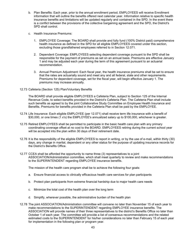- b. Plan Benefits: Each year, prior to the annual enrollment period, EMPLOYEES will receive Enrollment information that will outline the benefits offered next calendar year. Information relative to specific health insurance benefits and limitations will be updated regularly and contained in the SPD. In the event there is a conflict between the provisions of the collective bargaining agreement and the SPD, the District's SPD shall control.
- c. Health Insurance Premiums:
	- 1. EMPLOYEE Coverage: The BOARD shall provide and fully fund (100% District paid) comprehensive health insurance as defined in the SPD for all eligible EMPLOYEES covered under this section, excluding those grandfathered employees referred to in Section 12.071.
	- 2. Dependent Coverage: EMPLOYEES selecting dependent coverage pursuant to the SPD shall be responsible for the payment of premiums as set on an annual basis. Premiums are effective January 1 and may be adjusted each year during the term of this agreement pursuant to an actuarial recommendation.
	- 3. Annual Premium Adjustment: Each fiscal year, the health insurance premiums shall be set to ensure that the rates are actuarially sound and meet any and all federal, state and other requirements. Premiums for dependent coverage, set for the fiscal year, will begin effective January 1. The premiums may increase annually.
- 12.73 Cafeteria (Section 125) Plan/Voluntary Benefits

The BOARD shall provide eligible EMPLOYEES a Cafeteria Plan, subject to Section 125 of the Internal Revenue Code, to select benefits provided in the District's Cafeteria Plan. The Cafeteria Plan shall include such benefits as agreed to by the joint Collaborative Study Committee on Employee Health Insurance and Benefits. Premiums for benefits provided in the Cafeteria Plan shall be paid by the EMPLOYEE.

- 12.74 Life Insurance: Each eligible EMPLOYEE (per 12.071) shall receive term life insurance with a benefit of \$30,000, or one times (1 x's) the EMPLOYEE's annualized salary up to \$100,000, whichever is greater.
- 12.75 Retired EMPLOYEES shall be permitted to participate in the basic health care plan with any primary coordinating coverage offset at no cost to the BOARD. EMPLOYEES retiring during the current school year will be accepted into the plan within 30 days of their retirement date.
- 12.76 It is the responsibility of the eligible EMPLOYEES to report in writing, or by the use of e-mail, within thirty (30) days, any change in marital, dependent or any other status for the purpose of updating insurance records for the District's Benefits Office.
- 12.77 CCEA shall be afforded the opportunity to name three (3) representatives to a joint ASSOCIATION/Administration committee, which shall meet quarterly to review and make recommendations to the SUPERINTENDENT regarding EMPLOYEE insurance benefits.

The mission of the health care program shall be to achieve the following four goals:

- a. Ensure financial access to clinically efficacious health care services for plan participants
- b. Protect plan participants from extreme financial hardship due to major health care needs
- c. Minimize the total cost of the health plan over the long term
- d. Simplify, wherever possible, the administrative burden of the health plan
- 12.78 The joint ASSOCIATION/Administration committee will convene no later than November 15 of each year to make recommendations to the SUPERINTENDENT regarding EMPLOYEE insurance benefits. The ASSOCIATION will provide names of their three representatives to the district's Benefits Office no later than October 1 of each year. The committee will provide a list of consensus recommendations and the related estimated costs to the SUPERINTENDENT for his/her considerations no later than February 15 of each year for implementation in the following plan or program year.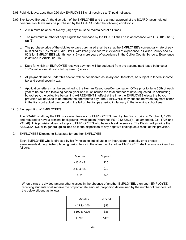12.08 Paid Holidays: Less than 250-day EMPLOYEES shall receive six (6) paid holidays.

- 12.09 Sick Leave Buyout: At the discretion of the EMPLOYEE and the annual approval of the BOARD, accumulated personal sick leave may be purchased by the BOARD under the following conditions:
	- a. A minimum balance of twenty (20) days must be maintained at all times
	- b. The maximum number of days eligible for purchase by the BOARD shall be in accordance with F.S. 1012.61(2) (a) (3).
	- c. The purchase price of the sick leave days purchased shall be set at the EMPLOYEE's current daily rate of pay multiplied by 50% for an EMPLOYEE with zero (0) to twelve (12) years of experience in Collier County and by 80% for EMPLOYEES with thirteen (13) or more years of experience in the Collier County Schools. Experience is defined in Article 12.016.
	- d. Days for which an EMPLOYEE receives payment will be deducted from the accumulated leave balance at 100% value even if restricted by item (c) above.
	- e. All payments made under this section will be considered as salary and, therefore, be subject to federal income tax and social security tax.
	- f. Application letters must be submitted to the Human Resources/Compensation Office prior to June 30th of each year to be paid the following school year and must include the total number of days requested. In calculating buyout pay, the collective bargaining AGREEMENT in effect at the time the EMPLOYEE elects the buyout provision will be used to determine the appropriate pay. The EMPLOYEE may choose between payment either in the first contractual pay period in the fall or the first pay period in January in the following school year.

#### 12.10 Fingerprinting of EMPLOYEES

The BOARD shall pay the FBI processing fee only for EMPLOYEES hired by the District prior to October 1, 1990, and required to have a criminal background investigation (reference FS 1012.32(3)(a)) as amended, 231.1725 and 231.28). This provision does not apply to EMPLOYEES who have a break in service. The District will provide the ASSOCIATION with general guidelines as to the disposition of any negative findings as a result of this provision.

#### 12.11 EMPLOYEES Directed to Substitute for another EMPLOYEE

Each EMPLOYEE who is directed by his Principal to substitute in an instructional capacity or to proctor assessments during his/her planning period block in the absence of another EMPLOYEE shall receive a stipend as follows:

| Minutes         | Stipend |
|-----------------|---------|
| $\geq$ 15 & <41 | \$20    |
| $\geq 41$ & <81 | \$30    |
| $\geq 81$       | \$45    |

When a class is divided among other classes in the absence of another EMPLOYEE, then each EMPLOYEE receiving students shall receive the proportionate amount (proportion determined by the number of teachers) of the below stipend as follows:

| Minutes           | Stipend |
|-------------------|---------|
| $\geq$ 15 & <100  | \$45    |
| $\geq 100$ & <200 | \$85    |
| $\geq 200$        | \$125   |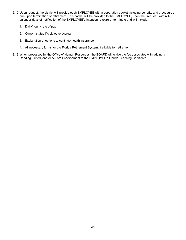- 12.12 Upon request, the district will provide each EMPLOYEE with a separation packet including benefits and procedures due upon termination or retirement. This packet will be provided to the EMPLOYEE, upon their request, within 45 calendar days of notification of the EMPLOYEE's intention to retire or terminate and will include:
	- 1. Daily/hourly rate of pay
	- 2. Current status if sick leave accrual
	- 3. Explanation of options to continue health insurance
	- 4. All necessary forms for the Florida Retirement System, if eligible for retirement
- 12.13 When processed by the Office of Human Resources, the BOARD will waive the fee associated with adding a Reading, Gifted, and/or Autism Endorsement to the EMPLOYEE's Florida Teaching Certificate.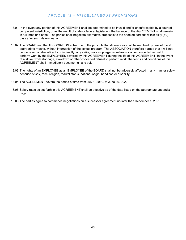## *ARTICLE 13 – MISCELLANEOUS PROVISIONS*

- <span id="page-49-0"></span>13.01 In the event any portion of this AGREEMENT shall be determined to be invalid and/or unenforceable by a court of competent jurisdiction, or as the result of state or federal legislation, the balance of the AGREEMENT shall remain in full force and effect. The parties shall negotiate alternative proposals to the affected portions within sixty (60) days after such determination.
- 13.02 The BOARD and the ASSOCIATION subscribe to the principle that differences shall be resolved by peaceful and appropriate means, without interruption of the school program. The ASSOCIATION therefore agrees that it will not condone aid or abet (directly or indirectly) any strike, work stoppage, slowdown or other concerted refusal to perform work by the EMPLOYEES covered by this AGREEMENT during the life of this AGREEMENT. In the event of a strike, work stoppage, slowdown or other concerted refusal to perform work, the terms and conditions of this AGREEMENT shall immediately become null and void.
- 13.03 The rights of an EMPLOYEE as an EMPLOYEE of the BOARD shall not be adversely affected in any manner solely because of sex, race, religion, marital status, national origin, handicap or disability.
- 13.04 The AGREEMENT covers the period of time from July 1, 2019, to June 30, 2022.
- 13.05 Salary rates as set forth in this AGREEMENT shall be effective as of the date listed on the appropriate appendix page.
- 13.06 The parties agree to commence negotiations on a successor agreement no later than December 1, 2021.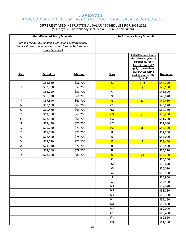## <span id="page-50-0"></span>*APPENICES – APPENDIX A – DIFFERENTIATED INSTRUCTIONAL SALARY SCHEDULES*

## DIFFERENTIATED INSTRUCTIONAL SALARY SCHEDULES FOR 2021-2022 (196 days, 7.5 hr. work day, includes a 35 minute paid lunch)

| <b>Grandfathered Salary Schedule</b> |                                                          | <b>Performance Salary Schedule</b> |                |                                                                                                                           |                  |  |
|--------------------------------------|----------------------------------------------------------|------------------------------------|----------------|---------------------------------------------------------------------------------------------------------------------------|------------------|--|
|                                      | (for all EMPLOYEES holding a Continuing or Professional  |                                    |                |                                                                                                                           |                  |  |
|                                      | Service Contract who have not opted into the Performance |                                    |                |                                                                                                                           |                  |  |
|                                      | Salary Schedule)                                         |                                    |                |                                                                                                                           |                  |  |
|                                      |                                                          |                                    |                | <b>Initial Placement with</b><br>the following years of<br>experience. Years<br>listed below ONLY<br>apply to newly hired |                  |  |
| <b>Step</b>                          | <b>Bachelors</b>                                         | <b>Masters</b>                     | <b>Step</b>    | <b>EMPLOYEES with a</b><br>start date on or after                                                                         | <b>Bachelors</b> |  |
|                                      |                                                          |                                    |                | $7/1/14*$                                                                                                                 |                  |  |
| $\mathsf{I}$                         | \$52,560                                                 | \$56,700                           | <b>E2</b>      | $0 - 4$                                                                                                                   | \$47,720         |  |
| J                                    | \$53,880                                                 | \$58,200                           | E <sub>3</sub> | 5                                                                                                                         | \$48,160         |  |
| $\sf K$                              | \$55,200                                                 | \$59,700                           | F <sub>1</sub> |                                                                                                                           | \$48,600         |  |
| L                                    | \$56,520                                                 | \$61,200                           | F <sub>2</sub> |                                                                                                                           | \$49,040         |  |
| ${\sf M}$                            | \$57,840                                                 | \$62,700                           | F <sub>3</sub> | $6\phantom{1}$                                                                                                            | \$49,480         |  |
| ${\sf N}$                            | \$59,160                                                 | \$64,200                           | G1             |                                                                                                                           | \$49,920         |  |
| $\mathsf O$                          | \$60,480                                                 | \$65,700                           | G <sub>2</sub> |                                                                                                                           | \$50,360         |  |
| P                                    | \$61,800                                                 | \$67,200                           | G3             | $\overline{7}$                                                                                                            | \$50,800         |  |
| Q                                    | \$63,120                                                 | \$68,700                           | H1             |                                                                                                                           | \$51,240         |  |
| ${\sf R}$                            | \$64,440                                                 | \$70,200                           | H <sub>2</sub> |                                                                                                                           | \$51,680         |  |
| S                                    | \$65,760                                                 | \$71,700                           | H3             | $\overline{\mathbf{8}}$                                                                                                   | \$52,120         |  |
| T                                    | \$67,080                                                 | \$73,200                           | $\mathbf{11}$  |                                                                                                                           | \$52,560         |  |
| $\cup$                               | \$68,400                                                 | \$74,700                           | 12             |                                                                                                                           | \$53,000         |  |
| $\vee$                               | \$69,720                                                 | \$76,200                           | 13             | $\overline{9}$                                                                                                            | \$53,440         |  |
| W                                    | \$71,040                                                 | \$77,700                           | J1             |                                                                                                                           | \$53,880         |  |
| $\pmb{\mathsf{X}}$                   | \$72,360                                                 | \$79,200                           | J2             |                                                                                                                           | \$54,320         |  |
| Υ                                    | \$73,680                                                 | \$80,700                           | J3             | 10                                                                                                                        | \$54,760         |  |
|                                      |                                                          |                                    | K1             |                                                                                                                           | \$55,200         |  |
|                                      |                                                          |                                    | <b>K2</b>      |                                                                                                                           | \$55,640         |  |
|                                      |                                                          |                                    | K3             |                                                                                                                           | \$56,080         |  |
|                                      |                                                          |                                    | L1             |                                                                                                                           | \$56,520         |  |
|                                      |                                                          |                                    | L2             |                                                                                                                           | \$56,960         |  |
|                                      |                                                          |                                    | L3             |                                                                                                                           | 557,400          |  |
|                                      |                                                          |                                    | M1             |                                                                                                                           | \$57,840         |  |
|                                      |                                                          |                                    | M <sub>2</sub> |                                                                                                                           | \$58,280         |  |
|                                      |                                                          |                                    | M3             |                                                                                                                           | \$58,720         |  |
|                                      |                                                          |                                    | N1             |                                                                                                                           | \$59,160         |  |
|                                      |                                                          |                                    | N <sub>2</sub> |                                                                                                                           | \$59,600         |  |
|                                      |                                                          |                                    | N3             |                                                                                                                           | \$60,040         |  |
|                                      |                                                          |                                    | 01             |                                                                                                                           | \$60,480         |  |
|                                      |                                                          |                                    | 02             |                                                                                                                           | \$60,920         |  |
|                                      |                                                          |                                    | 03             |                                                                                                                           | \$61,360         |  |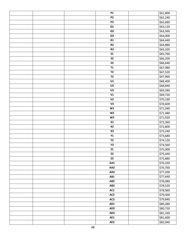|  | <b>P1</b>       | \$61,800             |
|--|-----------------|----------------------|
|  | P <sub>2</sub>  | $\frac{1}{662,240}$  |
|  | P3              | \$62,680             |
|  | Q1              | $\overline{$63,120}$ |
|  | Q <sub>2</sub>  | \$63,560             |
|  | Q3              | \$64,000             |
|  | R1              | \$64,440             |
|  | R2              | \$64,880             |
|  | R3              | \$65,320             |
|  | S <sub>1</sub>  | \$65,760             |
|  | S <sub>2</sub>  | \$66,200             |
|  | S <sub>3</sub>  | \$66,640             |
|  | T1              | \$67,080             |
|  | T2              | $\overline{$67,520}$ |
|  | T3              | \$67,960             |
|  | U1              | \$68,400             |
|  | U <sub>2</sub>  | \$68,840             |
|  | U3              | \$69,280             |
|  | V1              | \$69,720             |
|  | V <sub>2</sub>  | \$70,160             |
|  | V3              | \$70,600             |
|  | W1              | \$71,040             |
|  | W <sub>2</sub>  | \$71,480             |
|  | W <sub>3</sub>  | \$71,920             |
|  | X1              | \$72,360             |
|  | <b>X2</b>       | \$72,800             |
|  | X3              | \$73,240             |
|  | Y1              | \$73,680             |
|  | Y2              | \$74,120             |
|  | Υ3              | \$74,560             |
|  | Z1              | \$75,000             |
|  | Z <sub>2</sub>  | \$75,440             |
|  | Z3              | \$75,880             |
|  | AA1             | \$76,320             |
|  | AA2             | \$76,760             |
|  | AA3             | \$77,200             |
|  | AB1             | \$77,640             |
|  | AB <sub>2</sub> | \$78,080             |
|  | AB3             | \$78,520             |
|  | AC1             | \$78,960             |
|  | AC <sub>2</sub> | \$79,400             |
|  | AC3             | \$79,840             |
|  | AD1             | \$80,280             |
|  | AD <sub>2</sub> | \$80,720             |
|  | AD3             | \$81,160             |
|  | AE1             | \$81,600             |
|  | AE <sub>2</sub> | \$82,040             |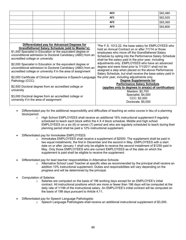|                                                                                                                                                                                                                                                                                                                                                                                                                                                                         |  |  | AE3                                                                                                                                                                                                                                                                                                                                                                                                                                                                                                                                                                 |  | \$82,480 |
|-------------------------------------------------------------------------------------------------------------------------------------------------------------------------------------------------------------------------------------------------------------------------------------------------------------------------------------------------------------------------------------------------------------------------------------------------------------------------|--|--|---------------------------------------------------------------------------------------------------------------------------------------------------------------------------------------------------------------------------------------------------------------------------------------------------------------------------------------------------------------------------------------------------------------------------------------------------------------------------------------------------------------------------------------------------------------------|--|----------|
|                                                                                                                                                                                                                                                                                                                                                                                                                                                                         |  |  | AF1                                                                                                                                                                                                                                                                                                                                                                                                                                                                                                                                                                 |  | \$82,920 |
|                                                                                                                                                                                                                                                                                                                                                                                                                                                                         |  |  | AF <sub>2</sub>                                                                                                                                                                                                                                                                                                                                                                                                                                                                                                                                                     |  | \$83,360 |
|                                                                                                                                                                                                                                                                                                                                                                                                                                                                         |  |  | AF3                                                                                                                                                                                                                                                                                                                                                                                                                                                                                                                                                                 |  | \$83,800 |
|                                                                                                                                                                                                                                                                                                                                                                                                                                                                         |  |  |                                                                                                                                                                                                                                                                                                                                                                                                                                                                                                                                                                     |  |          |
|                                                                                                                                                                                                                                                                                                                                                                                                                                                                         |  |  |                                                                                                                                                                                                                                                                                                                                                                                                                                                                                                                                                                     |  |          |
|                                                                                                                                                                                                                                                                                                                                                                                                                                                                         |  |  |                                                                                                                                                                                                                                                                                                                                                                                                                                                                                                                                                                     |  |          |
| Differentiated pay for Advanced Degrees for<br><b>Grandfathered Salary Schedule (add to Master's):</b><br>\$1,500 Specialist in Education or the equivalent degree or<br>unconditional admission to Doctoral Candidacy (ABD) from an<br>accredited college or university<br>\$2,000 Specialist in Education or the equivalent degree or<br>unconditional admission to Doctoral Candidacy (ABD) from an<br>accredited college or university if in the area of assignment |  |  | *Per F.S. 1012.22, the base salary for EMPLOYEES who<br>hold an Annual Contract on or after 7/1/14 or those<br>employees who move off the Grandfathered Salary<br>Schedule by opting into the Performance Salary Schedule<br>shall be the salary paid in the prior year, including<br>adjustments only. EMPLOYEES who have an advanced<br>degree and were hired prior to 7/1/2011 shall not be<br>assigned a step when placed on the above Performance<br>Salary Schedule, but shall receive the base salary paid in<br>the prior year, including adjustments only. |  |          |
| \$2,000 Certificate of Clinical Competence in Speech-Language<br>Pathology (CCC)                                                                                                                                                                                                                                                                                                                                                                                        |  |  | <b>Degree Supplements for</b><br><b>Performance Salary Schedule</b><br>(applies only to degrees in area(s) of certification)<br>Masters: \$2,700<br>Specialist: \$4,000<br>CCC: \$2,000<br>Doctorate: \$5,000                                                                                                                                                                                                                                                                                                                                                       |  |          |
| \$2,500 Doctoral degree from an accredited college or<br>university<br>\$3,000 Doctoral degree from an accredited college or<br>university if in the area of assignment                                                                                                                                                                                                                                                                                                 |  |  |                                                                                                                                                                                                                                                                                                                                                                                                                                                                                                                                                                     |  |          |

- Differentiated pay for the additional responsibility and difficulties of teaching an extra course in lieu of a planning block/period:
	- $\circ$  High School EMPLOYEES shall receive an additional 16% instructional supplement if regularly scheduled to teach each block within the 4 X 4 block schedule. Middle and high school EMPLOYEES on a six (6) or seven (7) period and who are regularly scheduled to teach during their planning period shall be paid a 12% instructional supplement.
- Differentiated pay for Immokalee EMPLOYEES:
	- $\circ$  Immokalee EMPLOYEES shall receive a supplement of \$2500. The supplement shall be paid in two equal installments, the first in December and the second in May. EMPLOYEES with a start date on or after January 1 shall only be eligible to receive the second installment of \$1250 paid in May. Only those EMPLOYEES who are current EMPLOYEES as of the date on which the supplement is paid shall be eligible to receive the supplement.
- Differentiated pay for lead teacher responsibilities in Alternative Schools:
	- o Alternative School Lead Teacher at specific sites as recommended by the principal shall receive an addition 10% instructional supplement. Duties and responsibilities will vary depending on the progress and will be determined by the principal.
- Computation of Salaries:
	- $\circ$  Salaries are computed on the basis of 196 working days except for an EMPLOYEE's initial contract. All instructional positions which are more or fewer than 196 days will be computed at the daily rate of 1/196 of the instructional salary. An EMPLOYEE's initial contract will be computed on the basis of 198 days pursuant to Article 4.11.
- Differentiated pay for Speech Language Pathologists:
	- $\circ$  Speech Language Pathologists shall receive an additional instructional supplement of \$3,000.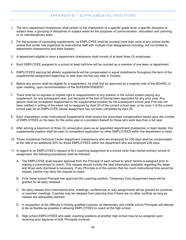## *APPENDIX B – SUPPLEMENTAL POSITIONS*

- <span id="page-53-0"></span>1. The term department chairperson shall pertain to the chairperson of a specific grade level, a specific discipline or subject area, a grouping of disciplines or subject areas for the purposes of communication, articulation and planning, or an interdisciplinary team.
- 2. For the purpose of computing supplements, no EMPLOYEE shall be counted more than once at any school center unless that center has organized its instructional staff with multiple chair designations including, but not limited to, department chairpersons and team leaders.
- 3. A department eligible to have a department chairperson shall consist of at least three (3) employees.
- 4. Each EMPLOYEE assigned to a school at least half-time will be counted as a member of one team or department.
- 5. EMPLOYEES earning fall athletic supplements will be compensated in equal installments throughout the term of the supplemental assignment beginning no later than the first pay date in October.
- 6. Before any person shall be eligible for a supplement, he shall first be approved by a majority vote of the BOARD, in open meeting, upon recommendation of the SUPERINTENDENT.
- 7. There shall be no express or implied right to reappointment to any position in the school system paying any supplement, for any subsequent year, just because of the fact of having been appointed for any prior year. Any person shall be considered reappointed to his supplemental position for the subsequent school year if he has not been notified in writing of the intent not to reappoint by April 20 of the current school year, or by June 1 of the current school year for an EMPLOYEE whose assignment has not been completed by April 20.
- 8. Each chairperson under Instructional Supplements shall receive the prescribed compensation based upon the number of EMPLOYEES on his team for the entire year or a proration thereof for those who work less than a full year.
- 9. After serving a maximum of three (3) consecutive years as an appointed department chairperson or team leader, this supplemental position shall be open to competitive application by other EMPLOYEES within the department or team.
- 10. Those Vocational-Technical Center department chairpersons who are employed for 236 days shall be compensated at the rate of an additional 20% for those EMPLOYEES within the department who are employed 236 days.
- 11. In regard to an EMPLOYEE's request to fill a coaching assignment at a school other than his/her primary school of assignment, the following procedures shall be followed:
	- A. The EMPLOYEE shall request approval from the Principal of each school to which he/she is assigned prior to making a commitment to coach. This request should include the best information available regarding the dates and times early dismissal is necessary. If any Principal is of the opinion that too much instructional time would be missed, he/she may deny the request to coach.
	- B. If the home school Principal has approved the coaching position, Temporary Duty Assignment leave will be granted for all early releases.
	- C. No early release from instructional time, meetings, conferences or duty assignments will be granted for practices or coaches' meetings. Coaches may be released from planning time if there are no other conflicts as long as classes are adequately planned.
	- D. In recognition of the difficulty in finding qualified coaches, all elementary and middle school Principals will attempt to be as flexible as possible in allowing EMPLOYEES to coach at the high school.
	- E. High school EMPLOYEES who seek coaching positions at another high school may be so assigned upon receiving prior approval of both Principals involved.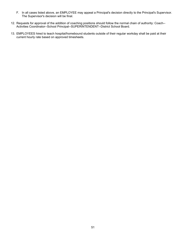- F. In all cases listed above, an EMPLOYEE may appeal a Principal's decision directly to the Principal's Supervisor. The Supervisor's decision will be final.
- 12. Requests for approval of the addition of coaching positions should follow the normal chain of authority: Coach-- Activities Coordinator--School Principal--SUPERINTENDENT--District School Board.
- 13. EMPLOYEES hired to teach hospital/homebound students outside of their regular workday shall be paid at their current hourly rate based on approved timesheets.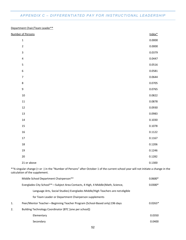## <span id="page-55-0"></span>*APPENDIX C – DIFFERENTIATED PAY FOR INSTRUCTIONAL LEADERSHIP*

### Department Chair/Team Leader\*\*

| Number of Persons       | Index* |
|-------------------------|--------|
| $\mathbf 1$             | 0.0000 |
| $\mathbf 2$             | 0.0000 |
| $\mathsf 3$             | 0.0379 |
| $\overline{\mathbf{4}}$ | 0.0447 |
| 5                       | 0.0516 |
| 6                       | 0.0581 |
| $\overline{7}$          | 0.0644 |
| $\bf 8$                 | 0.0705 |
| 9                       | 0.0765 |
| $10\,$                  | 0.0822 |
| ${\bf 11}$              | 0.0878 |
| $12\,$                  | 0.0930 |
| 13                      | 0.0983 |
| $14\,$                  | 0.1030 |
| 15                      | 0.1078 |
| 16                      | 0.1122 |
| $17\,$                  | 0.1167 |
| $18\,$                  | 0.1206 |
| 19                      | 0.1246 |
| $20\,$                  | 0.1282 |
| 21 or above             | 0.1300 |

\*\*A singular change (+ or -) in the "Number of Persons" after October 1 of the current school year will not initiate a change in the calculation of the supplement.

|    | Middle School Department Chairperson**                                           | $0.0600*$ |
|----|----------------------------------------------------------------------------------|-----------|
|    | Everglades City School**-Subject Area Contacts, 4 High, 4 Middle (Math, Science, | $0.0300*$ |
|    | Language Arts, Social Studies) Everglades Middle/High Teachers are not eligible  |           |
|    | for Team Leader or Department Chairperson supplements                            |           |
| 1. | Peer/Mentor Teacher-Beginning Teacher Program (School-Based only) 196 days       | $0.0263*$ |
| 2. | Building Technology Coordinator (BTC [one per school])                           |           |
|    | Elementary                                                                       | 0.0350    |
|    | Secondary                                                                        | 0.0400    |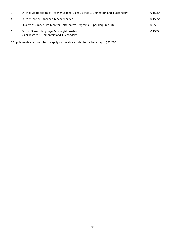| 3.  | District Media Specialist Teacher Leader (2 per District: 1 Elementary and 1 Secondary)       | $0.1505*$ |
|-----|-----------------------------------------------------------------------------------------------|-----------|
| 4.  | District Foreign Language Teacher Leader                                                      | $0.1505*$ |
| -5. | Quality Assurance Site Monitor - Alternative Programs - 1 per Required Site                   | 0.05      |
| 6.  | District Speech Language Pathologist Leaders<br>2 per District: 1 Elementary and 1 Secondary) | 0.1505    |

\* Supplements are computed by applying the above index to the base pay of \$43,760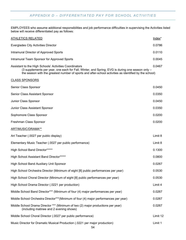## *APPENDIX D – DIFFERENTIATED PAY FOR SCHOOL ACTIVITIES*

<span id="page-57-0"></span>EMPLOYEES who assume additional responsibilities and job performance difficulties in supervising the Activities listed below will receive differentiated pay as follows:

| <b>ATHLETICS RELATED</b>                                                                                                                                                                                                                                            | Index <sup>*</sup> |
|---------------------------------------------------------------------------------------------------------------------------------------------------------------------------------------------------------------------------------------------------------------------|--------------------|
| <b>Everglades City Activities Director</b>                                                                                                                                                                                                                          | 0.0786             |
| Intramural Director of Approved Sports                                                                                                                                                                                                                              | 0.0110             |
| Intramural Team Sponsor for Approved Sports                                                                                                                                                                                                                         | 0.0045             |
| Assistant to the High Schools' Activities Coordinators<br>(3 supplements per year, one each for Fall, Winter, and Spring; EVG is during one season only -<br>the season with the greatest number of sports and after-school activities as identified by the school) | 0.0467             |
| <b>CLASS SPONSORS</b>                                                                                                                                                                                                                                               |                    |
| Senior Class Sponsor                                                                                                                                                                                                                                                | 0.0450             |
| Senior Class Assistant Sponsor                                                                                                                                                                                                                                      | 0.0350             |
| Junior Class Sponsor                                                                                                                                                                                                                                                | 0.0450             |
| Junior Class Assistant Sponsor                                                                                                                                                                                                                                      | 0.0350             |
| Sophomore Class Sponsor                                                                                                                                                                                                                                             | 0.0200             |
| Freshman Class Sponsor                                                                                                                                                                                                                                              | 0.0200             |
| ART/MUSIC/DRAMA**                                                                                                                                                                                                                                                   |                    |
| Art Teacher (.0027 per public display)                                                                                                                                                                                                                              | Limit 8            |
| Elementary Music Teacher (.0027 per public performance)                                                                                                                                                                                                             | Limit 8            |
| High School Band Director*****                                                                                                                                                                                                                                      | 0.1300             |
| High School Assistant Band Director*****                                                                                                                                                                                                                            | 0.0800             |
| <b>High School Band Auxiliary Unit Sponsor</b>                                                                                                                                                                                                                      | 0.0267             |
| High School Orchestra Director (Minimum of eight [8] public performances per year)                                                                                                                                                                                  | 0.0530             |
| High School Choral Director (Minimum of eight [8] public performances per year)                                                                                                                                                                                     | 0.0530             |
| High School Drama Director (.0221 per production)                                                                                                                                                                                                                   | Limit 4            |
| Middle School Band Director*** (Minimum of four (4) major performances per year)                                                                                                                                                                                    | 0.0267             |
| Middle School Orchestra Director***(Minimum of four (4) major performances per year)                                                                                                                                                                                | 0.0267             |
| Middle School Drama Director *** (Minimum of two (2) major productions per year)<br>(including matinee and 2 evening shows)                                                                                                                                         | 0.0267             |
| Middle School Choral Director (.0027 per public performance)                                                                                                                                                                                                        | Limit 12           |
| Music Director for Dramatic Musical Production (.0221 per major production)                                                                                                                                                                                         | Limit 1            |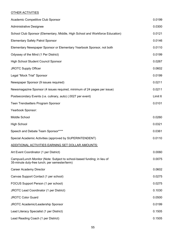## OTHER ACTIVITIES

| Academic Competitive Club Sponsor                                                                                        | 0.0199  |
|--------------------------------------------------------------------------------------------------------------------------|---------|
| <b>Administrative Designee</b>                                                                                           | 0.0300  |
| School Club Sponsor (Elementary, Middle, High School and Workforce Education)                                            | 0.0121  |
| <b>Elementary Safety Patrol Sponsor</b>                                                                                  | 0.0146  |
| Elementary Newspaper Sponsor or Elementary Yearbook Sponsor, not both                                                    | 0.0110  |
| Odyssey of the Mind (1 Per District)                                                                                     | 0.0199  |
| High School Student Council Sponsor                                                                                      | 0.0267  |
| JROTC Supply Officer                                                                                                     | 0.0602  |
| Legal "Mock Trial" Sponsor                                                                                               | 0.0199  |
| Newspaper Sponsor (9 issues required)                                                                                    | 0.0211  |
| Newsmagazine Sponsor (4 issues required, minimum of 24 pages per issue)                                                  | 0.0211  |
| Postsecondary Events (i.e. culinary, auto) (.0027 per event)                                                             | Limit 6 |
| Teen Trendsetters Program Sponsor                                                                                        | 0.0101  |
| Yearbook Sponsor:                                                                                                        |         |
| Middle School                                                                                                            | 0.0260  |
| <b>High School</b>                                                                                                       | 0.0321  |
| Speech and Debate Team Sponsor****                                                                                       | 0.0361  |
| Special Academic Activities (approved by SUPERINTENDENT)                                                                 | 0.0110  |
| ADDITIONAL ACTIVITIES EARNING SET DOLLAR AMOUNTS:                                                                        |         |
| Art Event Coordinator (1 per District)                                                                                   | 0.0060  |
| Campus/Lunch Monitor (Note: Subject to school-based funding; in lieu of<br>35-minute duty-free lunch; per semester/term) | 0.0075  |
| <b>Career Academy Director</b>                                                                                           | 0.0602  |
| Canvas Support Contact (1 per school)                                                                                    | 0.0275  |
| FOCUS Support Person (1 per school)                                                                                      | 0.0275  |
| JROTC Lead Coordinator (1 per District)                                                                                  | 0.1030  |
| <b>JROTC Color Guard</b>                                                                                                 | 0.0500  |
| JROTC Academic/Leadership Sponsor                                                                                        | 0.0199  |
| Lead Literacy Specialist (1 per District)                                                                                | 0.1505  |
| Lead Reading Coach (1 per District)                                                                                      | 0.1505  |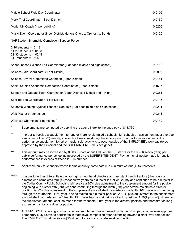| Middle School Field Day Coordinator                                                                        | 0.0105 |
|------------------------------------------------------------------------------------------------------------|--------|
| Mock Trial Coordinator (1 per District)                                                                    | 0.0150 |
| Model UN Coach (1 per building)                                                                            | 0.0200 |
| Music Event Coordinator (8 per District; Honors Chorus, Orchestra, Band)                                   | 0.0120 |
| NAF Student Internship Completion Support Person:                                                          |        |
| $5-10$ students = .0149<br>11-20 students = $.0198$<br>$21-30$ students = .0248<br>$31 +$ students = .0297 |        |
| School-based Science Fair Coordinator (1 at each middle and high school)                                   | 0.0110 |
| Science Fair Coordinator (1 per District)                                                                  | 0.0903 |
| Science Review Committee Chairman (1 per District)                                                         | 0.0181 |
| Social Studies Academic Competition Coordinator (1 per District)                                           | 0.1505 |
| Speech and Debate Team Coordinator (2 per District: 1 Middle and 1 High)                                   | 0.0361 |
| Spelling Bee Coordinator (1 per District)                                                                  | 0.0115 |
| Students Working Against Tobacco Contacts (1 at each middle and high school)                               | 0.0211 |
| Web Master (1 per school)                                                                                  | 0.0241 |
| Wellness Champion (1 per school)                                                                           | 0.0149 |

- Supplements are computed by applying the above index to the base pay of \$43,760
- \*\* In order to receive a supplement for one or more levels (middle school, high school) an assignment must average a minimum of two (2) weekly, after-school sessions during the school year. In order to receive an exhibit or performance supplement for art or music, said activity is to occur outside of the EMPLOYEE's workday (to be approved by the Principal and the SUPERINTENDENT's designee).
- \*\*\* This amount may be increased by 0.0030\* (note about \$100 on the BS step 0 for the 05-06 school year) per public performance per school as approved by the SUPERINTENDENT. Payment shall not be made for public performances in excess of fifteen (15) in number.
- \*\*\*\* Applicable only to sponsors whose teams annually participate in a minimum of four (4) tournaments.
- \*\*\*\*\* In order to further differentiate pay for high school band directors and assistant band directors (directors), a director who completes four (4) consecutive years as a director in Collier County and continues to be a director in the Collier County Public Schools shall receive a 20% plus adjustment to the supplement amount for the position beginning with his/her fifth (5th) year and continuing through the ninth (9th) year he/she maintains a director position. A 30% plus adjustment to the supplement amount shall be made for the tenth (10th) year and continuing through the fourteenth (14th) year, he/she maintains a director position. A 40% plus adjustment to the supplement amount shall be made for the fifteenth (15th) year he/she maintains a director position. A 50% plus adjustment to the supplement amount shall be made for the twentieth (20th) year in the director position and thereafter as long as he/she maintains a director position.
- \*\*\*\*\*\* An EMPLOYEE receiving a school sponsor supplement, as approved by his/her Principal, shall receive approved Temporary Duty Leave to participate in state level competition after advancing beyond district level competition. The EMPLOYEE shall receive a \$50 stipend for each such state level competition.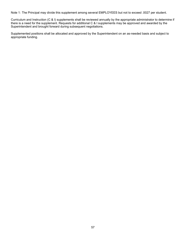Note 1: The Principal may divide this supplement among several EMPLOYEES but not to exceed .0027 per student.

Curriculum and Instruction (C & I) supplements shall be reviewed annually by the appropriate administrator to determine if there is a need for the supplement. Requests for additional C & I supplements may be approved and awarded by the Superintendent and brought forward during subsequent negotiations.

Supplemented positions shall be allocated and approved by the Superintendent on an as-needed basis and subject to appropriate funding.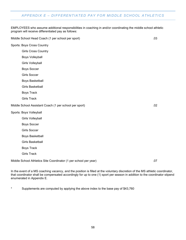## <span id="page-61-0"></span>*APPENDIX E – DIFFERENTIATED PAY FOR MIDDLE SCHOOL ATHLETICS*

EMPLOYEES who assume additional responsibilities in coaching in and/or coordinating the middle school athletic program will receive differentiated pay as follows:

Middle School Head Coach (1 per school per sport) .03

Sports: Boys Cross Country

Girls Cross Country

Boys Volleyball

Girls Volleyball

Boys Soccer

Girls Soccer

Boys Basketball

Girls Basketball

Boys Track

Girls Track

Middle School Assistant Coach (1 per school per sport) .02

Sports: Boys Volleyball

Girls Volleyball

Boys Soccer

Girls Soccer

Boys Basketball

Girls Basketball

Boys Track

Girls Track

Middle School Athletics Site Coordinator (1 per school per year) .07

In the event of a MS coaching vacancy, and the position is filled at the voluntary discretion of the MS athletic coordinator, that coordinator shall be compensated accordingly for up to one (1) sport per season in addition to the coordinator stipend enumerated in Appendix E.

\* Supplements are computed by applying the above index to the base pay of \$43,760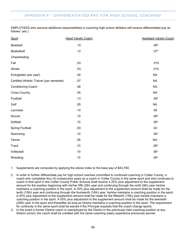## <span id="page-62-0"></span>*APPENDIX F – DIFFERENTIATED PAY FOR HIGH SCHOOL COACHING*

EMPLOYEES who assume additional responsibilities in coaching high school athletics will receive differentiated pay as follows: (etc.)

| Sport                                     | <b>Head Varsity Coach</b> | <b>Assistant Varsity Coach</b> |
|-------------------------------------------|---------------------------|--------------------------------|
| Baseball                                  | .10                       | $.06*$                         |
| Basketball                                | .12                       | $.07*$                         |
| Cheerleading                              |                           |                                |
| Fall                                      | .03                       | .015                           |
| Winter                                    | .03                       | .015                           |
| Everglades (per year)                     | .04                       | <b>NA</b>                      |
| Certified Athletic Trainer (per semester) | .07                       | <b>NA</b>                      |
| Conditioning Coach                        | .08                       | <b>NA</b>                      |
| <b>Cross Country</b>                      | .05                       | <b>NA</b>                      |
| Football                                  | .13                       | $.08^{\star}$                  |
| Golf                                      | .05                       | <b>NA</b>                      |
| Lacrosse                                  | .10                       | .06                            |
| Soccer                                    | .10                       | $.06*$                         |
| Softball                                  | .10                       | $.06*$                         |
| <b>Spring Football</b>                    | .03                       | .02                            |
| Swimming                                  | .10                       | $.06*$                         |
| Tennis                                    | .05                       | <b>NA</b>                      |
| <b>Track</b>                              | .10                       | $.06*$                         |
| Volleyball                                | .10                       | $.06*$                         |
| Wrestling                                 | .10                       | $.06*$                         |

1. Supplements are computed by applying the above index to the base pay of \$43,760.

- 2. In order to further differentiate pay for high school coaches committed to continued coaching in Collier County, a coach who completes four (4) consecutive years as a coach in Collier County in the same sport and who continues to coach in that sport in the Collier County Public Schools shall receive a 20% plus adjustment to the supplement amount for the position beginning with his/her fifth (5th) year and continuing through the ninth (9th) year he/she maintains a coaching position in the sport. A 30% plus adjustment to the supplement amount shall be made for the tenth (10th) year and continuing through the fourteenth (14th) year, he/she maintains a coaching position in the sport. A 40% plus adjustment to the supplement amount shall be made for the fifteenth (15th) year he/she maintains a coaching position in the sport. A 50% plus adjustment to the supplement amount shall be made for the twentieth (20th) year in the sport and thereafter as long as he/she maintains a coaching position in the sport. The requirement for continuity in the same sport shall be waived if the Principal requests that the coach change sports.
- 3. In the event a former District coach is reemployed by the District in the previously held coaching position at any District school, the coach shall be credited with the same coaching salary experience previously earned.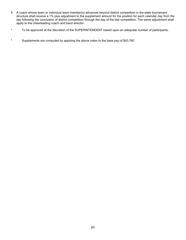- 4. A coach whose team or individual team member(s) advances beyond district competition in the state tournament structure shall receive a 1% plus adjustment to the supplement amount for the position for each calendar day from the day following the conclusion of district competition through the day of the last competition. The same adjustment shall apply to the cheerleading coach and band director.
- \* To be approved at the discretion of the SUPERINTENDENT based upon an adequate number of participants.
- \* Supplements are computed by applying the above index to the base pay of \$43,760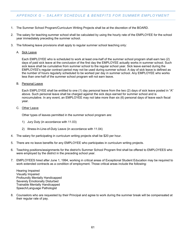## <span id="page-64-0"></span>*APPENDIX G – SALARY SCHEDULE & BENEFITS FOR SUMMER EMPLOYMENT*

- 1. The Summer School Program/Curriculum Writing Projects shall be at the discretion of the BOARD.
- 2. The salary for teaching summer school shall be calculated by using the hourly rate of the EMPLOYEE for the school year immediately preceding the summer school.
- 3. The following leave provisions shall apply to regular summer school teaching only:
	- A. Sick Leave

Each EMPLOYEE who is scheduled to work at least one-half of the summer school program shall earn two (2) days of paid sick leave at the conclusion of the first day the EMPLOYEE actually works in summer school. Such sick leave shall be cumulative from summer school to the regular school year. Sick leave earned during the EMPLOYEE's regular contract period may not be used during summer school. A day of sick leave is defined as the number of hours regularly scheduled to be worked per day in summer school. Any EMPLOYEE who works less than one-half of the summer school program will not earn leave.

B. Personal Leave

Each EMPLOYEE shall be entitled to one (1) day personal leave from the two (2) days of sick leave posted in "A" above. Such personal leave shall be charged against the sick days earned for summer school and is noncumulative. In any event, an EMPLOYEE may not take more than six (6) personal days of leave each fiscal year.

C. Other Leave

Other types of leaves permitted in the summer school program are:

- 1) Jury Duty (in accordance with 11.03)
- 2) Illness-In-Line-of-Duty Leave (in accordance with 11.04)
- 4. The salary for participating in curriculum writing projects shall be \$20 per hour.
- 5. There are no leave benefits for any EMPLOYEE who participates in curriculum writing projects.
- 6. Teaching positions/assignments for the district's Summer School Program first shall be offered to EMPLOYEES who were employed by the district in the preceding school year.
- 7. EMPLOYEES hired after June 1, 1994, working in critical areas of Exceptional Student Education may be required to work extended contracts as a condition of employment. Those critical areas include the following:

Hearing Impaired Visually Impaired Profoundly Mentally Handicapped Severely Emotionally Disturbed Trainable Mentally Handicapped Speech/Language Pathologist

8. Counselors who are requested by their Principal and agree to work during the summer break will be compensated at their regular rate of pay.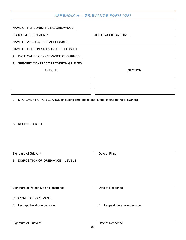## *APPENDIX H – GRIEVANCE FORM (GF)*

<span id="page-65-0"></span>

| B. SPECIFIC CONTRACT PROVISION GRIEVED:                                              |                                   |
|--------------------------------------------------------------------------------------|-----------------------------------|
| <b>ARTICLE</b>                                                                       | <b>SECTION</b>                    |
|                                                                                      |                                   |
|                                                                                      |                                   |
|                                                                                      |                                   |
| C. STATEMENT OF GRIEVANCE (including time, place and event leading to the grievance) |                                   |
|                                                                                      |                                   |
|                                                                                      |                                   |
| D. RELIEF SOUGHT                                                                     |                                   |
|                                                                                      |                                   |
|                                                                                      |                                   |
|                                                                                      |                                   |
|                                                                                      |                                   |
| Signature of Grievant<br><b>DISPOSITION OF GRIEVANCE - LEVEL I</b>                   | Date of Filing                    |
| Е.                                                                                   |                                   |
|                                                                                      |                                   |
|                                                                                      |                                   |
| Signature of Person Making Response                                                  | Date of Response                  |
|                                                                                      |                                   |
| <b>RESPONSE OF GRIEVANT:</b>                                                         |                                   |
| I accept the above decision.<br>□                                                    | I appeal the above decision.<br>□ |
|                                                                                      |                                   |
| Signature of Grievant                                                                | Date of Response                  |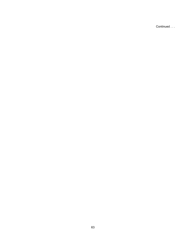Continued . . .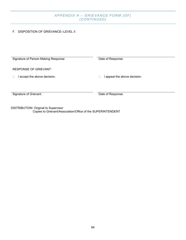## *APPENDIX H – GRIEVANCE FORM (GF) (CONTINUED)*

## F. DISPOSITION OF GRIEVANCE--LEVEL II

| Signature of Person Making Response | Date of Response           |
|-------------------------------------|----------------------------|
|                                     |                            |
|                                     |                            |
| <b>RESPONSE OF GRIEVANT:</b>        |                            |
| accept the above decision.          | appeal the above decision. |
|                                     |                            |
|                                     |                            |
|                                     |                            |
|                                     |                            |
| Signature of Grievant               | Date of Response           |
|                                     |                            |
|                                     |                            |
|                                     |                            |

DISTRIBUTION: Original to Supervisor Copies to Grievant/Association/Office of the SUPERINTENDENT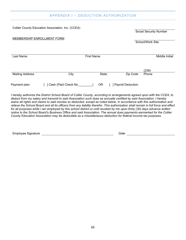## *APPENDIX I – DEDUCTION AUTHORIZATION*

<span id="page-68-0"></span>Collier County Education Association, Inc. (CCEA)

Social Security Number

#### MEMBERSHIP ENROLLMENT FORM

School/Work Site

| Last Name<br><b>First Name</b> |                       |       |                          | Middle Initial |  |
|--------------------------------|-----------------------|-------|--------------------------|----------------|--|
|                                |                       |       |                          | (239)          |  |
| <b>Mailing Address</b>         | City                  | State | Zip Code                 | Phone          |  |
| Payment plan:                  | Cash (Paid Check No._ | 0R    | <b>Payroll Deduction</b> |                |  |

*I hereby authorize the District School Board of Collier County, according to arrangements agreed upon with the CCEA, to deduct from my salary and transmit to said Association such dues as annually certified by said Association. I hereby*  waive all rights and claims to said monies so deducted, except as noted below, in accordance with this authorization and *relieve the School Board and all its officers from any liability therefor. This authorization shall remain in full force and effect for all purposes while I am employed by this school district or until revoked by me upon thirty (30) days advance written notice to the School Board's Business Office and said Association. The annual dues payments earmarked for the Collier County Education Association may be deductible as a miscellaneous deduction for federal income tax purposes.*

Employee Signature **Date Employee Signature Date Date Date Date Date Date**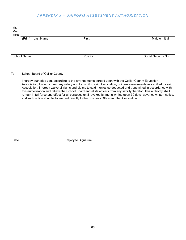## *APPENDIX J – UNIFORM ASSESSMENT AUTHORIZATION*

<span id="page-69-0"></span>

To: School Board of Collier County

I hereby authorize you, according to the arrangements agreed upon with the Collier County Education Association, to deduct from my salary and transmit to said Association, uniform assessments as certified by said Association. I hereby waive all rights and claims to said monies so deducted and transmitted in accordance with this authorization and relieve the School Board and all its officers from any liability therefor. This authority shall remain in full force and effect for all purposes until revoked by me in writing upon 30 days' advance written notice, and such notice shall be forwarded directly to the Business Office and the Association.

Date **Employee Signature**